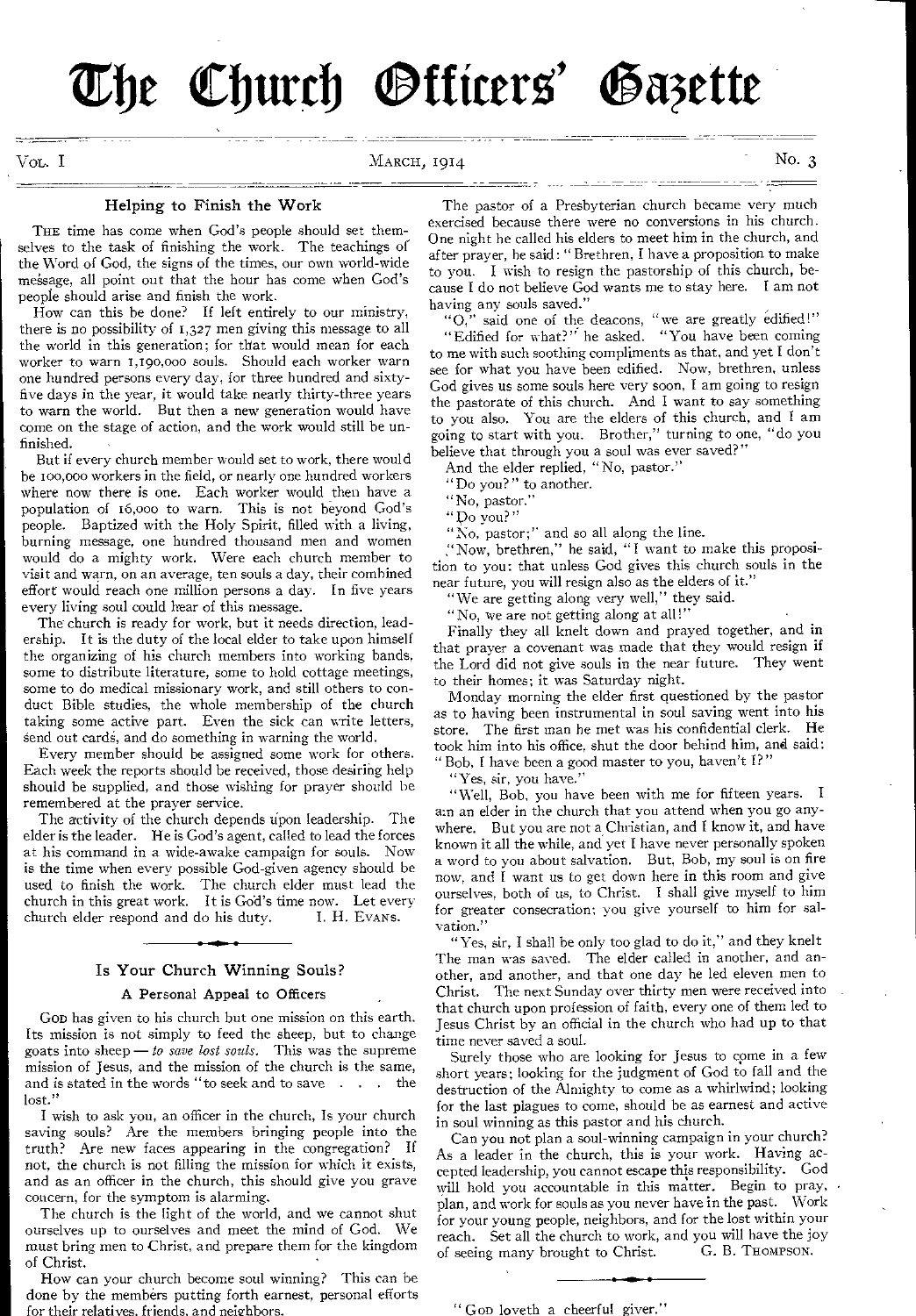The Church Officers' Gazette

VOL. I MARCH, 1914 MARCH, 1914

### Helping to Finish the Work

THE time has come when God's people should set themselves to the task of finishing the work. The teachings of the Word of God, the signs of the times, our own world-wide message, all point out that the hour has come when God's people should arise and finish the work.

How can this be done? If left entirely to our ministry, there is no possibility of 1,327 men giving this message to all the world in this generation; for that would mean for each worker to warn 1,190,000 souls. Should each worker warn one hundred persons every day, for three hundred and sixtyfive days in the year, it would take nearly thirty-three years to warn the world. But then a new generation would have come on the stage of action, and the work would still be unfinished.

But if every church member would set to work, there would be ioo,000 workers in the field, or nearly one hundred workers where now there is one. Each worker would then have a population of 16,000 to warn. This is not beyond God's people. Baptized with the Holy Spirit, filled with a living, burning message, one hundred thousand men and women would do a mighty work. Were each church member to visit and warn, on an average, ten souls a day, their combined effort would reach one million persons a day. In five years every living soul could hear of this message.

The church is ready for work, but it needs direction, leadership. It is the duty of the local elder to take upon himself the organizing of his church members into working bands, some to distribute literature, some to hold cottage meetings, some to do medical missionary work, and still others to conduct Bible studies, the whole membership of the church taking some active part. Even the sick can write letters, send out cards, and do something in warning the world.

Every member should be assigned some work for others. Each week the reports should be received, those desiring help should be supplied, and those wishing for prayer should be remembered at the prayer service.

The activity of the church depends upon leadership. The elder is the leader. He is God's agent, called to lead the forces at his command in a wide-awake campaign for souls. Now is the time when every possible God-given agency should he used to finish the work. The church elder must lead the church in this great work. It is God's time now. Let every church elder respond and do his duty. I. H. EVANS.

# Is Your Church Winning Souls?

## A Personal Appeal to Officers

Gon has given to his church but one mission on this earth. Its mission is not simply to feed the sheep, but to change goats into sheep — *to save lost souls.* This was the supreme mission of Jesus, and the mission of the church is the same, and is stated in the words "to seek and to save lost."

I wish to ask you, an officer in the church, Is your church saving souls? Are the members bringing people into the truth? Are new faces appearing in the congregation? If not, the church is not filling the mission for which it exists, and as an officer in the church, this should give you grave concern, for the symptom is alarming.

The church is the light of the world, and we cannot shut ourselves up to ourselves and meet the mind of God. We must bring men to Christ, and prepare them for the kingdom of Christ.

How can your church become soul winning? This can be done by the members putting forth earnest, personal efforts for their relatives. friends, and neighbors.

The pastor of a Presbyterian church became very much exercised because there were no conversions in his church. One night he called his elders to meet him in the church, and after prayer, he said: " Brethren, I have a proposition to make to you. I wish to resign the pastorship of this church, because I do not believe God wants me to stay here. I am not having any souls saved."

"0," said one of the deacons, "we are greatly edified!" "Edified for what?" he asked. "You have been coming

to me with such soothing compliments as that, and yet I don't see for what you have been edified. Now, brethren, unless God gives us some souls here very soon, I am going to resign the pastorate of this church. And I want to say something to you also. You are the elders of this church, and I am going to start with you. Brother," turning to one, "do you believe that through you a soul was ever saved?"

And the elder replied, "No, pastor."

"Do you?" to another.

"No, pastor."

" po you?"

"No, pastor;" and so all along the line.

;'Now, brethren," he said, "I want to make this proposition to you: that unless God gives this church souls in the near future, you will resign also as the elders of it.'

"We are getting along very well," they said.

"No, we are not getting along at all!"

Finally they all knelt down and prayed together, and in that prayer a covenant was made that they would resign if the Lord did not give souls in the near future. They went to their homes; it was Saturday night.

Monday morning the elder first questioned by the pastor as to having been instrumental in soul saving went into his store. The first man he met was his confidential clerk. He took him into his office, shut the door behind him, and said: Bob, I have been a good master to you, haven't I?"

"Yes, sir, you have."

"Well, Bob, you have been with me for fifteen years. I am an elder in the church that you attend when you go anywhere. But you are not a Christian, and I know it, and have known it all the while, and yet I have never personally spoken a word to you about salvation. But, Bob, my soul is on fire now, and I want us to get down here in this room and give ourselves, both of us, to Christ. I shall give myself to him for greater consecration; you give yourself to him for salvation."

"Yes, sir, I shall be only too glad to do it," and they knelt The man was saved. The elder called in another, and another, and another, and that one day he led eleven men to Christ. The next Sunday over thirty men were received into that church upon profession of faith, every one of them led to Jesus Christ by an official in the church who had up to that time never saved a soul.

Surely those who are looking for Jesus to come in a few short years; looking for the judgment of God to fall and the destruction of the Almighty to come as a whirlwind; looking for the last plagues to come, should be as earnest and active in soul winning as this pastor and his church.

Can you not plan a soul-winning campaign in your church? As a leader in the church, this is your work. Having accepted leadership, you cannot escape this responsibility. God will hold you accountable in this matter. Begin to pray,  $\cdot$ plan, and work for souls as you never have in the past. Work for your young people, neighbors, and for the lost within your reach. Set all the church to work, and you will have the joy of seeing many brought to Christ. G. B. THOMPSON. of seeing many brought to Christ.

" GOD loveth a cheerful giver."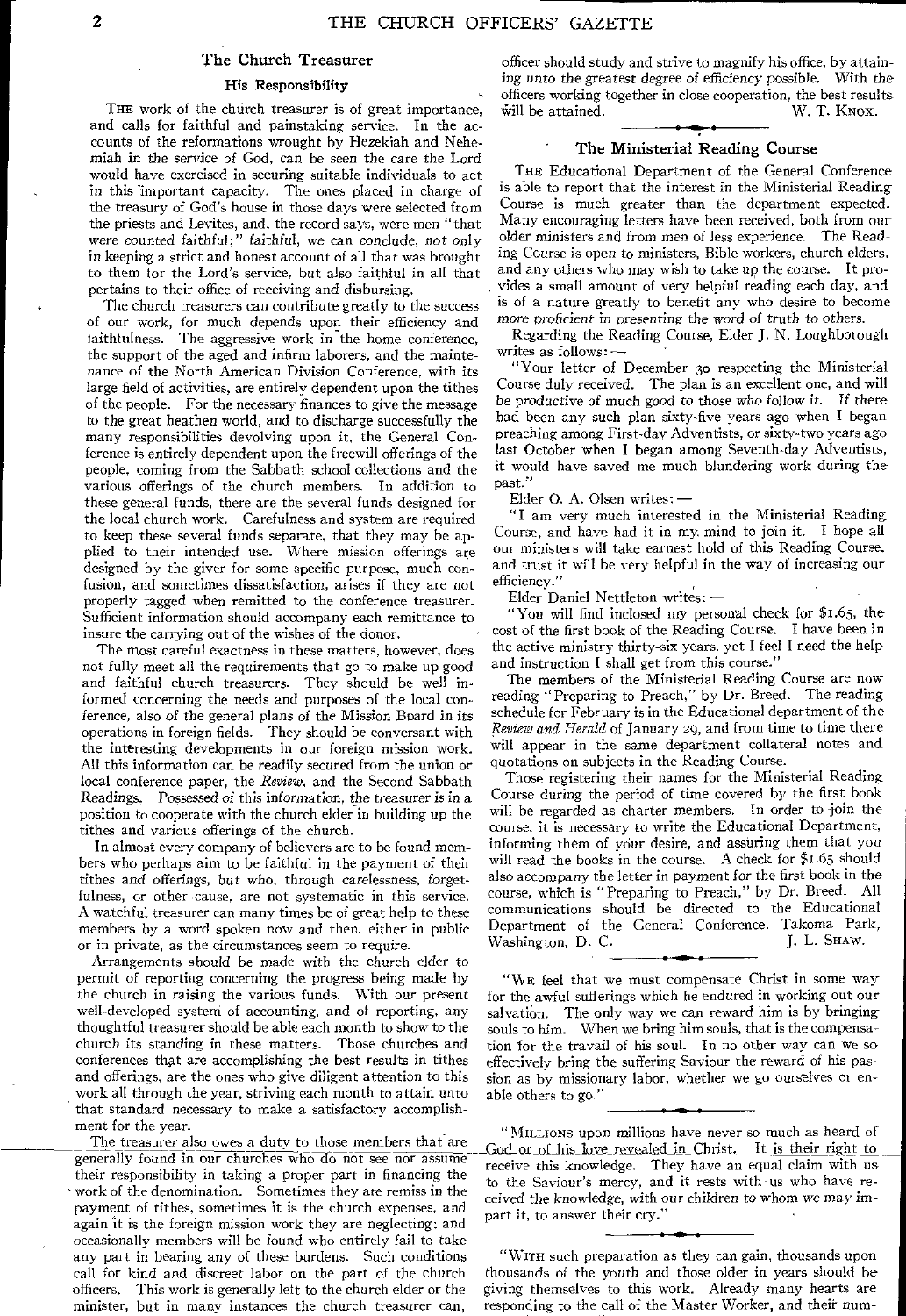#### The Church Treasurer

#### His Responsibility

THE work of the church treasurer is of great importance, and calls for faithful and painstaking service. In the accounts of the reformations wrought by Hezekiah and Nehemiah *in* the service *of* God, can be *seen* the care the Lord would have exercised in securing suitable individuals to act in this important capacity. The ones placed in charge of the treasury of God's house in those days were selected from the priests and Levites, and, the record says, were men "that were counted faithful;" *faithful,* we *can* conclude, not only in keeping a strict and honest account of all that was brought to them for the Lord's service, but also faithful in all that pertains to their office of receiving and disbursing.

The church treasurers can contribute greatly to the success of our work, for much depends upon their efficiency and faithfulness. The aggressive work in the home conference, the support of the aged and infirm laborers, and the maintenance of the North American Division Conference, with its large field of activities, are entirely dependent upon the tithes of the people. For the necessary finances to give the message to the great heathen world, and to discharge successfully the many responsibilities devolving upon it, the General Conference is entirely dependent upon the freewill offerings of the people, coming from the Sabbath school collections and the various offerings of the church members. In addition to these general funds, there are the several funds designed for the local church work. Carefulness and system are required to keep these several funds separate, that they may be applied to their intended use. Where mission offerings are designed by the giver for some specific purpose, much confusion, and sometimes dissatisfaction, arises if they are not properly tagged when remitted to the conference treasurer. Sufficient information should accompany each remittance to insure the carrying out of the wishes of the donor.

The most careful exactness in these matters, however, does not fully meet all the requirements that go to make up good and faithful church treasurers. They should be well informed concerning the needs and purposes of the local conference, also of the general plans of the Mission Board in its operations in foreign fields. They should be conversant with the interesting developments in our foreign mission work. All this information can be readily secured from the union or local conference paper, the *Review,* and the Second Sabbath Readings. Possessed of this *information,* the treasurer is in a position to cooperate with the church elder in building up the tithes and various offerings of the church.

In almost every company of believers are to be found members who perhaps aim to be faithful in the payment of their tithes and offerings, but who, through carelessness, forgetfulness, or other cause, are not systematic in this service. A watchful treasurer can many times be of great help to these members by a word spoken now and then, either in public or in private, as the circumstances seem to require.

Arrangements should be made with the church elder to permit of reporting concerning the progress being made by the church in raising the various funds. With our present well-developed system of accounting, and of reporting, any thoughtful treasurer should be able each month to show to the church its standing in these matters. Those churches and conferences that are accomplishing the best results in tithes and offerings, are the ones who give diligent attention to this work all through the year, striving each month to attain unto that standard necessary to make a satisfactory accomplishment for the year.

payment of tithes, sometimes it is the church expenses, and increases and increases and increases and increases and increases and increases and increases and increases and increases and increases and increases and increase again it is the foreign mission work they are neglecting: and occasionally members will be found who entirely fail to take any part in hearing any of these burdens. Such conditions call for kind and discreet labor on the part of the church officers. This work is generally left to the church elder or the minister, but in many instances the church treasurer can,

officer should study and strive to magnify his office, by attaining unto the greatest degree of *efficiency* possible. With the officers working together in close cooperation, the best results<br>will be attained. W. T. KNOX. will be attained.

#### The Ministerial Reading Course

THE Educational Department of the General Conference is able to report that the interest in the Ministerial Reading Course is much greater than the department expected. Many encouraging letters have been received, both from our older ministers and from men of less experience. The Reading Course is open to ministers, Bible workers, church elders, and any others who may wish to take up the course. It provides a small amount of very helpful reading each day, and is of a nature greatly to benefit any who desire to become more *proficient in presenting* the word *of* truth *to* others.

Regarding the Reading Course, Elder J. N. Loughborough writes as follows:

"Your letter of December 30 respecting the Ministerial Course duly received. The plan is an excellent one, and will be productive of much good to those who follow it. If there had been any such plan sixty-five years ago when I began preaching among First-day Adventists, or sixty-two years ago last October when I began among Seventh-day Adventists, it would have saved me much blundering work during the past."

Elder 0. A. Olsen writes: —

"I am very much interested in the Ministerial Reading Course, and have had it in my mind to join it. I hope all our ministers will take earnest hold of this Reading Course. and trust it will be very helpful in the way of increasing our efficiency."

Elder Daniel Nettleton writes: —

"You will find inclosed my personal check for \$1.65, the cost of the first book of the Reading Course, I have been in the active ministry thirty-six years, yet I feel I need the help and instruction I shall get from this course."

The members of the Ministerial Reading Course are now reading "Preparing to Preach," by Dr. Breed. The reading schedule for February is in the Educational department of the *Review and Herald* of January 29, and from time to time there will appear in the same department collateral notes and quotations on subjects in the Reading Course.

Those registering their names for the Ministerial Reading Course during the period of time covered by the first book will be regarded as charter members. In order to join the course, it is necessary to write the Educational Department, informing them of your desire, and assuring them that you will read the books in the course. A check for \$1.65 should also accompany the letter in payment for the first book in the course, which is "Preparing to Preach," by Dr. Breed. All communications should be directed to the Educational Department of the General Conference. Takoma Park,<br>Washington, D. C. J. L. SHAW. Washington, D. C. J. L. SHAW.

"WE feel that we must compensate Christ in some way for the awful sufferings which he endured in working out our salvation. The only way we can reward him is by bringing souls to him. When we bring him souls, that is the compensation for the travail of his soul. In no other way can we so effectively bring the suffering Saviour the reward of his passion as by missionary labor, whether we go ourselves or enable others to go."

ent for the year.<br>The treasurer also owes a duty to those members that are exact of his love revealed in Christ. It is their right to generally found in our churches who do not see nor assume<br>their responsibility in taking a proper part in financing the<br>vork of the denomination. Sometimes they are remiss in the sairod the Saviour's mercy, and it rests wi

> "WITH such preparation as they can gain, thousands upon thousands of the youth and those older in years should be giving themselves to this work. Already many hearts are responding to the call of the Master Worker, and their num-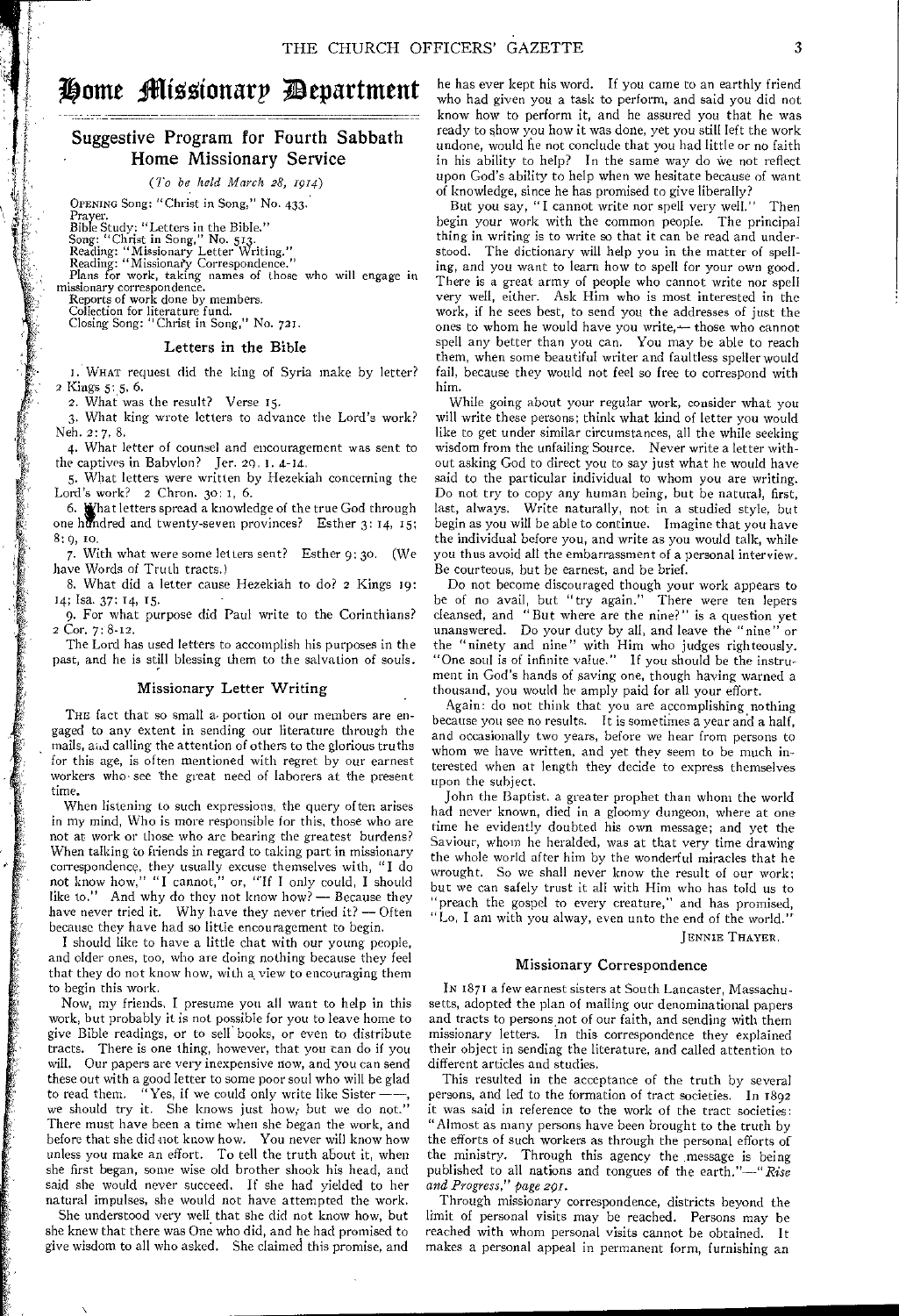# Home Missionarp Department

## Suggestive Program for Fourth Sabbath Home Missionary Service

*(7'o be held March 28, 1914)* 

OPENING Song: "Christ in Song," No. 433.

Prayer.

Bible Study: "Letters in the Bible." Song: "Christ in Song," No. 513. Reading: "Missionary Letter Writing." Reading: "Missionaty Correspondence." Plans for work, taking names of those who will engage in missionary correspondence. Reports of work done by members.

Collection for literature fund. Closing Song: "Christ in Song," No. 721.

#### Letters in the Bible

I. WHAT request did the king of Syria make by letter? 2 Kings 5: 5, 6.

2. What was the result? Verse 15.

3. What king wrote letters to advance the Lord's work? Neh. 2: 7, 8.

4. What letter of counsel and encouragement was sent to the captives in Babylon? Jer. 29. 1.  $4-14$ .

5. What letters were written by Hezekiah concerning the Lord's work? 2 Chron. 30: 1, 6.

6.  $\mathbf{W}$ hat letters spread a knowledge of the true God through one hidndred and twenty-seven provinces? Esther 3: 14, 15; 8: 9, to.

7. With what were some letters sent? Esther 9:30. (We have Words of Truth tracts.)

8. What did a letter cause Hezekiah to do? 2 Kings 19: 14; Isa. 37; 14, 15.

9. For what purpose did Paul write to the Corinthians? 2 Cor. 7: 8-12.

The Lord has used letters to accomplish his purposes in the past, and he is still blessing them to the salvation of souls.

#### Missionary Letter Writing

THE fact that so small a portion of our members are engaged to any extent in sending our literature through the mails, and calling the attention of others to the glorious truths for this age, is often mentioned with regret by our earnest workers who see the great need of laborers at the present time.

When listening to such expressions, the query often arises in my mind, Who is more responsible for this, those who are not at work or those who are bearing the greatest burdens? When talking to friends in regard to taking part in missionary correspondence, they usually excuse themselves with, "I do not know how," "I cannot," or, "If I only could, I should like to." And why do they not know how? — Because they have never tried it. Why have they never tried it? — Often because they have had so little encouragement to begin.

I should like to have a little chat with our young people, and older ones, too, who are doing nothing because they feel that they do not know how, with a view to encouraging them to begin this work.

Now, my friends, I presume you all want to help in this work, but probably it is not possible for you to leave home to give Bible readings, or to sell books, or even to distribute tracts. There is one thing, however, that you can do if you will. Our papers are very inexpensive now, and you can send these out with a good letter to some poor soul who will be glad to read them.  $\sqrt{N}$  Yes, if we could only write like Sisterwe should try it. She knows just how; but we do not." There must have been a time when she began the work, and before that she did not know how. You never will know how unless you make an effort. To tell the truth about it, when she first began, some wise old brother shook his head, and said she would never succeed. If she had yielded to her natural impulses, she would not have attempted the work.

She understood very well that she did not know how, but she knew that there was One who did, and he had promised to give wisdom to all who asked. She claimed this promise, and

he has ever kept his word. If you came to an earthly friend who had given you a task to perform, and said you did not know how to perform it, and he assured you that he was ready to show you how it was done, yet you still left the work undone, would he not conclude that you had little or no faith in his ability to help? In the same way do we not reflect upon God's ability to help when we hesitate because of want of knowledge, since he has promised to give liberally?

But you say, "I cannot write nor spell very well." begin your work with the common people. The principal thing in writing is to write so that it can be read and understood. The dictionary will help you in the matter of spelling, and you want to learn how to spell for your own good. There is a great army of people who cannot write nor spell very well, either. Ask Him who is most interested in the work, if he sees best, to send you the addresses of just the ones to whom he would have you write,— those who cannot spell any better than you can. You may be able to reach them, when some beautiful writer and faultless speller would fail, because they would not feel so free to correspond with him.

While going about your regular work, consider what you will write these persons; think what kind of letter you would like to get under similar circumstances, all the while seeking wisdom from the unfailing Source. Never write a letter without asking God to direct you to say just what he would have said to the particular individual to whom you are writing. Do not try to copy any human being, but be natural, first, last, always. Write naturally, not in a studied style, but begin as you will be able to continue. Imagine that you have the individual before you, and write as you would talk, while you thus avoid all the embarrassment of a personal interview. Be courteous, but be earnest, and be brief.

Do not become discouraged though your work appears to be of no avail, but "try again." There were ten lepers cleansed, and "But where are the nine?" is a question yet unanswered. Do your duty by all, and leave the "nine" the "ninety and nine" with Him who judges righteously. "One soul is of infinite value." If you should be the instrument in God's hands of saving one, though having warned a thousand, you would be amply paid for all your effort.

Again: do not think that you are accomplishing nothing because you see no results. It is sometimes a year and a half, and occasionally two years, before we hear from persons to whom we have written, and yet they seem to be much interested when at length they decide to express themselves upon the subject.

John the Baptist, a greater prophet than whom the world had never known, died in a gloomy dungeon, where at one time he evidently doubted his own message; and yet the Saviour, whom he heralded, was at that very time drawing the whole world after him by the wonderful miracles that he wrought. So we shall never know the result of our work; but we can safely trust it all with Him who has told us to "preach the gospel to every creature," and has promised, "Lo, I am with you alway, even unto the end of the world."

JENNIE THAYER.

#### Missionary Correspondence

IN 1871 a few earnest sisters at South Lancaster, Massachusetts, adopted the plan of mailing our denominational papers and tracts to persons not of our faith, and sending with them missionary letters. In this correspondence they explained their object in sending the literature, and called attention to different articles and studies.

This resulted in the acceptance of the truth by several persons, and led to the formation of tract societies. In 1892 it was said in reference to the work of the tract societies: "Almost as many persons have been brought to the truth by the efforts of such workers as through the personal efforts of the ministry. Through this agency the .message is being published to all nations and tongues of the earth."—"Rise *and Progress," page 291.* 

Through missionary correspondence, districts beyond the limit of personal visits may be reached. Persons may be reached with whom personal visits cannot be obtained. It makes a personal appeal in permanent form, furnishing an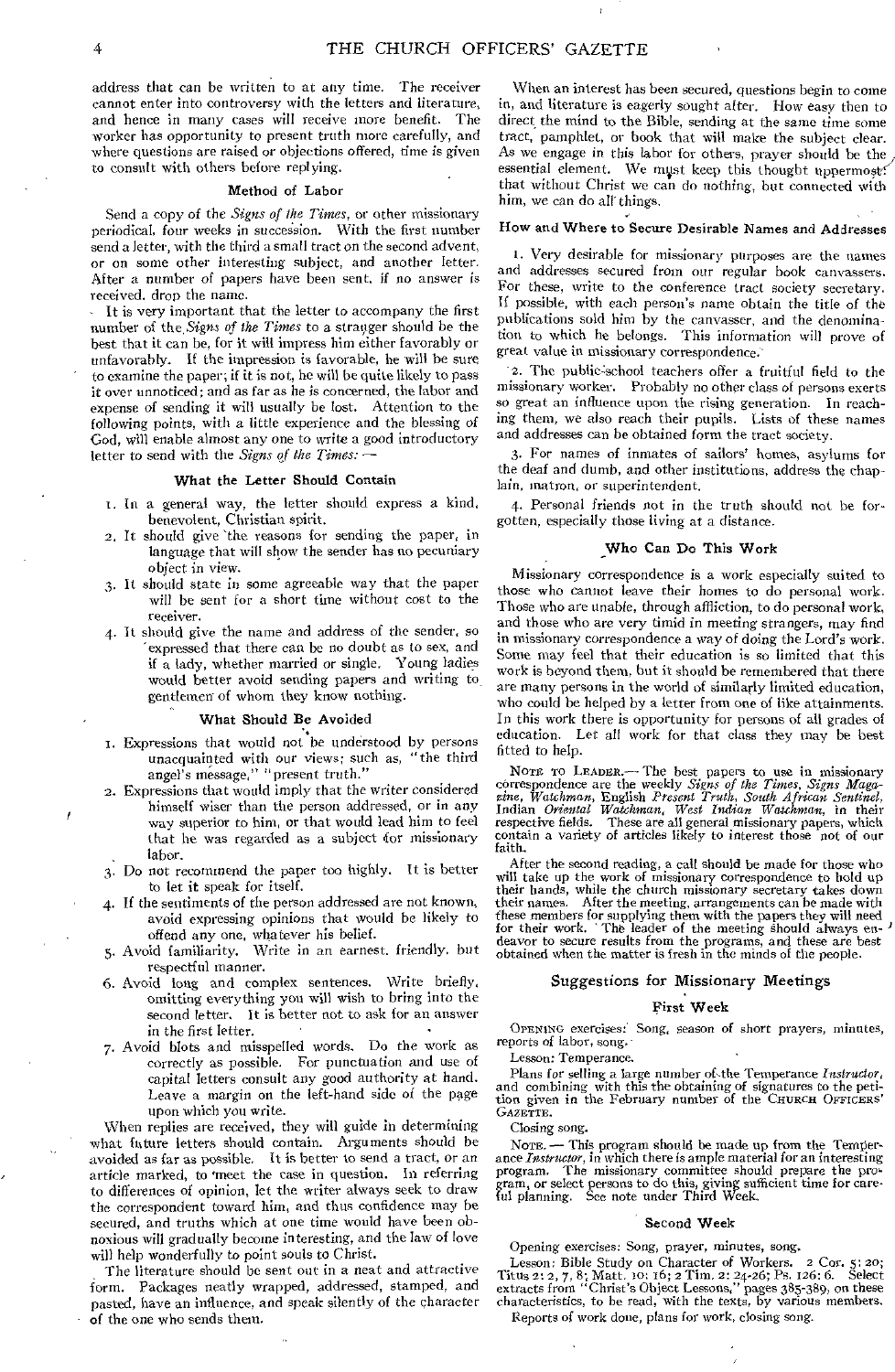address that can be written to at any time. The receiver cannot enter into controversy with the letters and literature, and hence in many cases will receive more benefit. The worker has opportunity to present truth more carefully, and where questions are raised or objections offered, time is given to consult with others before replying.

#### **Method of Labor**

Send a copy of the *Signs of the Times,* or other missionary periodical, four weeks in succession. With the first number send a letter, with the third a small tract on the second advent, or on some other interesting subject, and another letter. After a number of papers have been sent, if no answer is received. drop the name.

It is very important that the letter to accompany the first number of the,Signs of *the Times* to a stranger should be the best that it can be, for it will impress him either favorably or unfavorably. If the impression is favorable, he will be sure to examine the paper; if it is not, he will be quite likely to pass it over unnoticed; and as far as he is concerned, the labor and expense of sending it will usually be lost. Attention to the following points, with a little experience and the blessing of God, will enable almost any one to write a good introductory letter to send with the *Signs of the Times:* **—** 

#### **What the Letter Should Contain**

- r. In a general way, the letter should express *a* kind, benevolent, Christian spirit.
- 2. It should give 'the reasons for sending the paper, in language that will show the sender has no pecuniary object in view.
- 3. It should state in some agreeable way that the paper will be sent for a short time without cost to the receiver.
- 4. It should give the name and address of the sender, so 'expressed that there can be no doubt as to sex, and if a lady, whether married or single, Young ladies would better avoid sending papers and writing to gentlemen of whom they know nothing.

#### **What Should Be Avoided**

- 1. Expressions that would not be understood by persons unacquainted with our views; such as, "the third angel's message," "present truth."
- 2. Expressions that would imply that the writer considered himself wiser than the person addressed, or in any way superior to him, or that would lead him to feel that he was regarded as a subject for missionary labor.
- 3. Do not recommend the paper too highly. It is better to let it speak for itself.
- 4. If the sentiments of the person addressed are not known, avoid expressing opinions that would be likely to offend any one, whatever his belief.
- 5. Avoid familiarity. Write in an earnest, friendly, but respectful manner.
- 6. Avoid long and complex sentences. Write briefly, omitting everything you will wish to bring into the second letter. It is better not to ask for an answer in the first letter.
- 7. Avoid blots and misspelled words. Do the work as correctly as possible. For punctuation and use of capital letters consult any good authority at hand. Leave a margin on the left-hand side of the page upon which you write.

When replies are received, they **will** guide in determining what future letters should contain. Arguments should be avoided as far as possible. It is better to send a tract, or an article marked, to 'meet the case in question. In referring to differences of opinion, let the writer always seek to draw the correspondent toward him, and thus confidence may be secured, and truths which at one time would have been obnoxious will gradually become interesting, and the law of love will help wonderfully to point souls to Christ.

The literature should be sent out in a neat and attractive form. Packages neatly wrapped, addressed, stamped, and pasted, have an influence, and speak silently of the character of the one who sends them.

When an interest has been secured, questions begin to come in, and literature is eagerly sought after. How easy then to direct the mind to the Bible, sending at the same time some tract, pamphlet, or book that will make the subject clear. As we engage in this labor for others, prayer should be the essential element. We must keep this thought uppermost? that without Christ we can do nothing, but connected with him, we can do all things.

## **How and Where to Secure Desirable Names and Addresses**

r. Very desirable for missionary purposes are the names and addresses secured from our regular book canvassers. For these, write to the conference tract society secretary. If possible, with each person's name obtain the title of the publications sold him by the canvasser, and the denomination to which he belongs. This information will prove of great value in missionary correspondence.'

2. The public:school teachers offer a fruitful field to the missionary worker. Probably no other class of persons exerts so great an influence upon the rising generation. In reaching them, we also reach their pupils. Lists of these names and addresses can be obtained form the tract society.

3. For names of inmates of sailors' homes, asylums for the deaf and dumb, and other institutions, address the chaplain, matron, or superintendent.

4. Personal friends not in the truth should not be forgotten, especially those living at a distance.

#### **Who Can Do This Work**

Missionary correspondence is a work especially suited to those who cannot leave their homes to do personal work. Those who are unable, through affliction, to do personal work, and those who are very timid in meeting strangers, may find in missionary correspondence a way of doing the Lord's work. Some may feel that their education is so limited that this work is beyond them, but it should be remembered that there are many persons in the world of similarly limited education, who could be helped by a letter from one of like attainments. In this work there is opportunity for persons of all grades of education. Let all work for that class they may be best fitted to help.

NOTE TO LEADER.—The best papers to use in missionary<br>correspondence are the weekly *Signs of the Times*, *Signs Maga-<br>zine*, *Watchman*, English *Present Truth*, *South African Sentinel*,<br>Indian *Oriental Watchman*, *West* 

After the second reading, a call should be made for those who will take up the work of missionary correspondence to hold up<br>their hands, while the church missionary secretary takes down<br>their names. After the meeting, arrangements can be made with<br>these members for supplying them wit deavor to secure results from the programs, and these are best obtained when the matter is fresh in the minds of the people.

#### Suggestions for Missionary Meetings

#### **First Week**

OPENING exercises: Song, season of short prayers, minutes, reports of labor, song.<br>Lesson: Temperance.

Lesson: Temperance.

Plans for selling a large number of the Temperance *Instructor*, and combining with this the obtaining of signatures to the petition given in the February number of the CHURCH OFFICERS' GAZETTE.

Closing song.

NOTE. — This program should be made up from the Temperance *Instructor, in* which there is ample material for an interesting program. The missionary committee should prepare the program, or select persons to do this, giving sufficient time for care-<br>ful planning. See note under Third Week.

#### **Second Week**

Opening exercises: Song, prayer, minutes, song.

Upening exercises.  $\cos \frac{1}{2}$ ,  $\cos \frac{1}{2}$ ,  $\cos \frac{1}{2}$ ,  $\cos \frac{1}{2}$ ,  $\cos \frac{1}{2}$ ;  $\cos \frac{1}{2}$ ;  $\cos \frac{1}{2}$ ;  $\cos \frac{1}{2}$ ;  $\cos \frac{1}{2}$ ;  $\cos \frac{1}{2}$ ;  $\cos \frac{1}{2}$ ;  $\cos \frac{1}{2}$ ;  $\cos \frac{1}{2}$ ;  $\cos \frac{1}{2}$ ;  $\cos \frac{1}{2}$ ;  $\cos \frac{1$ Titus 2: 2, 7, 8; Matt. 10: 16; 2 Tim. 2: 24-26; Ps. 126: 6.<br>extracts from "Christ's Object Lessons," pages 385-389, or extracts from "Christ's Object Lessons," pages 385-389, on these characteristics, to be read, with the texts, by various members, Reports of work done, plans for work, closing song.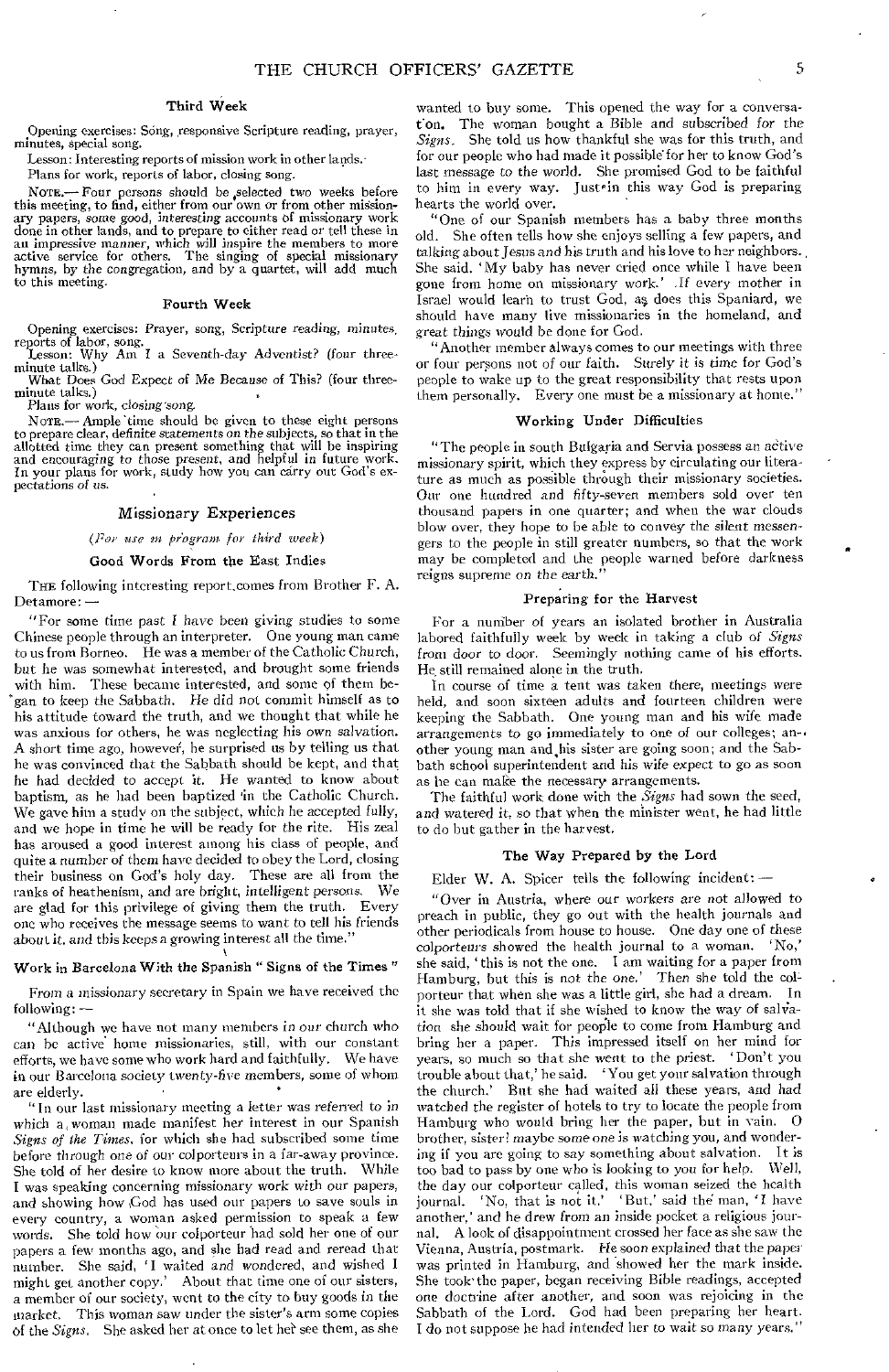#### Third Week

Opening exercises: Song, responsive Scripture reading, prayer, minutes, special song.

Lesson: Interesting reports of mission work in other lands.

Plans for work, reports of labor, closing song.

NOTE.- Four persons should be selected two weeks before this meeting, to find, either from our own or from other missionary papers, some *good, interesting* accounts of missionary work done in other lands, and to prepare to either read or tell these in an impressive manner, which will inspire the members to more active service for others. The singing of special missionary *hymns,* by the congregation, and by a quartet, will add much to this meeting.

#### Fourth Week

Opening exercises: Prayer, song, Scripture reading, *minutes,*  reports of labor, song. Lesson: Why Am I a Seventh-day Adventist? (four three-

minute talks.)

What Does God Expect *of* Me Because of This? (four threeminute talks.)

Plans for work, closing song.

NOTE.- Ample time should be given to these eight persons to prepare clear, definite statements on the subjects, so that in the allotted time they can present something that will be inspiring<br>and encouraging to those present, and helpful in future work.<br>In your plans for work, st pectations *of us.* 

#### *Missionary* Experiences

#### *(Tor use in fragrant for third week)*

#### Good Words From the East Indies

THE following interesting report, comes from Brother F. A. Detamore:

"For some time past I have been giving studies to some Chinese people through an interpreter. One young man came to us from Borneo. He was a member of the Catholic Church, but he was somewhat interested, and brought some friends with him. These became interested, and some of them began to keep the Sabbath. He did not commit himself as to his attitude toward the truth, and we thought that while he was anxious for others, he was neglecting his own *salvation.*  A short time ago, however, he surprised us by telling us that he was convinced that the Sabbath should be kept, and that he had decided to accept it. He wanted to know about baptism, as he had been baptized 'in the Catholic Church. We gave him a study on the subject, which he accepted fully, and we hope in time he will be ready for the rite. His zeal has aroused a good interest among his class of people, and quite a number of them have decided to obey the Lord, closing their business on God's holy day. These are all from the ranks of heathenism, and are bright, intelligent *persons.* We are glad for this privilege of giving them the truth. Every one who receives the message seems to want to tell his friends about it, and this keeps a growing interest all the time."

#### Work in Barcelona With the Spanish " Signs of the Times "

From a missionary secretary in Spain we have received the following: —

"Although we have not many members in our church who can be active home missionaries, still, with our constant efforts, we have some who work hard and faithfully. We have in our Barcelona society twenty-five members, some of whom are elderly.

"In our last missionary meeting a letter was referred to in which a, woman made manifest her interest in our Spanish *Signs of the Times,* for which she had subscribed some time before through one *of* our colporteurs in a far-away province. She told of her desire to know more about the truth. While I was speaking concerning missionary work with our papers, and showing how ,God has used our papers to save souls in every country, a woman asked permission to speak a few words. She told how our colporteur had sold her one of our papers a few months ago, and she had read and reread that number. She said, 'I waited and wondered, and wished I might get another copy.' About that time one of our sisters, a member of our society, went to the city to buy goods in the market, This *woman* saw under the sister's arm some copies of the *Signs*. She asked her at once to let her see them, as she

wanted to buy some. This opened the way for a conversat'on. The woman bought a Bible and subscribed for the *Signs.* She told us how thankful she was for this truth, and for our people who had made it possible for her to know God's last *message* to the world. She promised God to be faithful to him in every way. Just<sup>\*</sup> in this way God is preparing hearts the world over.

"One of our Spanish members has a baby three months old. She often tells how she enjoys selling a few papers, and talking about Jesus and his truth and his love to her neighbors. , She said, ' My baby has never cried once while I have been gone from home on missionary work.' *If* every mother in Israel would learn to trust God, as. does this Spaniard, we should have many live missionaries in the homeland, and great things *would* be done for God.

"Another member always comes to our meetings with three or four persons not of our faith. Surely it *is* time for God's people to wake up to the great responsibility that rests upon them personally. Every one must be a missionary at home.'

#### Working Under Difficulties

"The people in south Bulgaria and Servia possess an active missionary spirit, which they express by circulating our literature as much as possible through their missionary societies. Our one hundred and fifty-seven members sold over ten thousand papers in one quarter; and when the war clouds blow over, they hope to be able to convey the silent *messengers* to the people in still greater numbers, so that the work may be completed and the people warned before darkness reigns supreme on the earth."

#### Preparing for the Harvest

For a number of years an isolated brother in Australia labored faithfully week by week in taking a club of *Signs*  from door *to* door. Seemingly nothing came of his efforts. He still remained alone in the truth.

In course of time a tent was taken there, meetings were held, and soon sixteen adults and fourteen children were keeping the Sabbath. One young man and his wife made arrangements to go immediately to one of our colleges; an-• other young man and his sister are going soon; and the Sabbath school superintendent and his wife expect to go as soon as he can make the necessary arrangements.

The faithful work done with the *Signs* had sown the seed, and watered it, so that when the minister went, he had little to do but gather in the harvest.

#### The Way Prepared by the Lord

Elder W. A. Spicer tells the following incident: —

"Over in Austria, where our workers are not allowed to preach in public, they go out with the health journals and other periodicals from house to house. One day one of these colporteurs showed the health journal to a woman. 'No,' she said, ' this is not the one. I am waiting for a paper from Hamburg, but this is not the one.' Then she told the colporteur that when she was a little girl, she had a dream. In it she was told that if she wished to know the way of salvation she should wait for people to come from Hamburg and bring her a paper. This impressed itself on her mind for years, so much so that she went to the priest. 'Don't you trouble about that,' he said. 'You get your salvation through<br>the church.' But she had waited all these years, and had But she had waited all these years, and had watched the register of hotels to try to locate the people from Hamburg who would bring her the paper, but in vain. O brother, sister! maybe some one is watching you, and wondering if you are going to say something about salvation. It is too bad to pass by one who is looking to you for help. Well, the day our colporteur called, this woman seized the health journal. 'No, that is not it.' 'But.' said the man, 'I have 'But,' said the man, 'I have another,' and he drew from an inside pocket a religious journal. A look of disappointment crossed her face as she saw the Vienna, Austria, postmark. He soon explained that the paper was printed in Hamburg, and showed her the mark inside. She took' the paper, began receiving Bible readings, accepted one doctrine after another, and soon was rejoicing in the Sabbath of the Lord. God had been preparing her heart. I do not suppose he had intended her to wait *so many* years."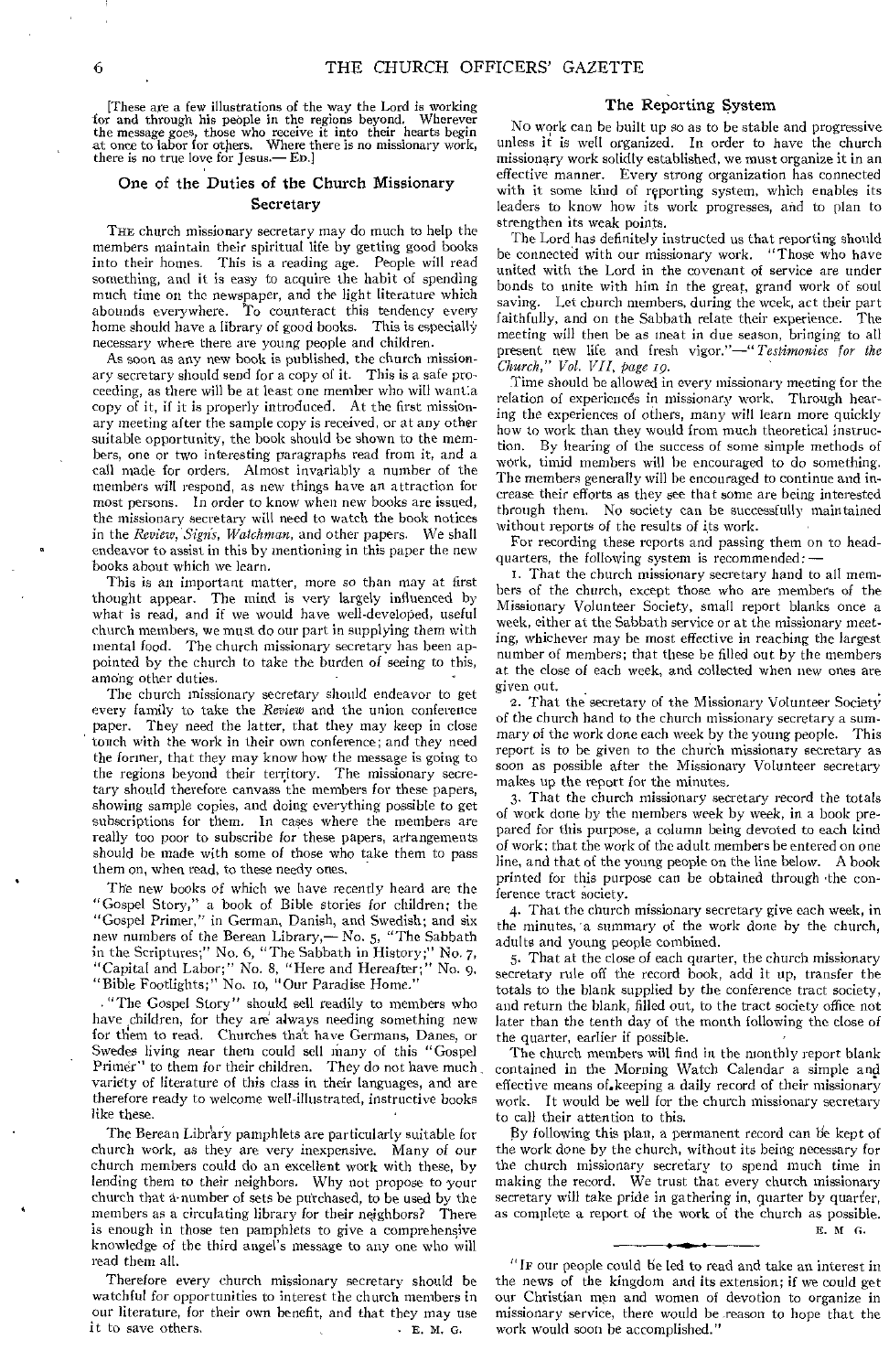[These are a few illustrations of the way the Lord is working r and through his people in the regions beyond. Wherever for and through his people in the regions beyond. the message goes, those who receive it into their hearts begin at once to labor for others. Where there is no missionary work, there is no true love for Jesus.—ED.]

## One of the Duties of the Church Missionary Secretary

THE church missionary secretary may do much to help the members maintain their spiritual life by getting good books into their homes. This is a reading age. People will read something, and it is easy to acquire the habit of spending much time on the newspaper, and the light literature which abounds everywhere. 'To counteract this tendency every home should have a library of good hooks. This is especially necessary where there are young people and children.

As soon as any new book is published, the church missionary secretary should send for a copy of it. This is a safe proceeding, as there will be at least one member who will want:a copy of it, if it is properly introduced, At the first missionary meeting after the sample copy is received, or at any other suitable opportunity, the book should be shown to the members, one or two interesting paragraphs read from it, and a call made for orders. Almost invariably a number of the members will respond, as new things have an attraction for most persons. In order to know when new books are issued, the missionary secretary will need to watch the book notices in the *Review, Signs, Watchman,* and other papers. We shall endeavor to assist in this by mentioning in this paper the new books about which we learn.

This is an important matter, more so than may at first thought appear. The mind is very largely influenced by what is read, and if we would have well-developed, useful church members, we must do our part in supplying them with mental food. The church missionary secretary has been appointed by the church to take the burden of seeing to this, among other duties.

The church missionary secretary should endeavor to get every family to take the *Review* and the union conference They need the latter, that they may keep in close touch with the work in their own conference; and they need the former, that they may know how the message is going to the regions beyond their territory. The missionary secretary should therefore canvass the members for these papers, showing sample copies, and doing everything possible to get subscriptions for them. In cases where the members are really too poor to subscribe for these papers, arrangements should be made with some of those who take them to pass them on, when read, to these needy ones.

The new books of which we have recently heard are the "Gospel Story," a book of Bible stories for children; the "Gospel Primer," in German, Danish, and Swedish; and six new numbers of the Berean Library,— No. 5, "The Sabbath in the Scriptures;" No. 6, "The Sabbath in History ;" No. 7, "Capital and Labor;" No. 8, "Here and Hereafter;" No. 9, "Bible Footlights;" No. to, "Our Paradise Home."

. "The Gospel Story" should sell readily to members who have children, for they are always needing something new for them to read. Churches that have Germans, Danes, or Swedes living near them could sell many of this "Gospel Primer" to them for their children. They do not have much variety of literature of this class in their languages, and are therefore ready to welcome well-illustrated, instructive books like these.

The Berean Library pamphlets are particularly suitable for church work, as they are very inexpensive. Many of our church members could do an excellent work with these, by lending them to their neighbors. Why not propose to your church that a-number of sets be putchased, to be used by the members as a circulating library for their neighbors? There is enough in those ten pamphlets to give a comprehensive knowledge of the third angel's message to any one who will read them all.

Therefore every church missionary secretary should be watchful for opportunities to interest the church members in our literature, for their own benefit, and that they may use it to save others.  $\cdot$  E. M. G.

## The Reporting System

No work can be built up so as to be stable and progressive unless it is well organized. In order to have the church missionary work solidly established, we must organize it in an effective manner. Every strong organization has connected with it some kind of reporting system, which enables its leaders to know how its work progresses, and to plan to strengthen its weak points.

The Lord has definitely instructed us that reporting should be connected with our missionary work. "Those who have united with the Lord in the covenant of service are under bonds to unite with him in the great, grand work of soul saving. Let church members, during the week, act their part faithfully, and on the Sabbath relate their experience. The meeting will then be as meat in due season, bringing to all present new life and fresh vigor."—" *Testimonies for the Church," Vol. VII, page 19.* 

Time should be allowed in every missionary meeting for the relation of experiences in missionary work. Through hearing the experiences of others, many will learn more quickly how to work than they would from much theoretical instruction. By hearing of the success of some simple methods of work, timid members will be encouraged to do something. The members generally will be encouraged to continue and increase their efforts as they see that some are being interested through them. No society can be successfully maintained without reports of the results of its work.

For recording these reports and passing them on to headquarters, the following system is recommended:

i. That the church missionary secretary hand to all members of the church, except those who are members of the Missionary Volunteer Society, small report blanks once a week, either at the Sabbath service or at the missionary meeting, whichever may be most effective in reaching the largest number of members; that these be filled out by the members at the close of each week, and collected when new ones are given out.

2. That the secretary of the Missionary Volunteer Society of the church hand to the church missionary secretary a summary of the work done each week by the young people. This report is to be given to the church missionary secretary as soon as possible after the Missionary Volunteer secretary makes up the report for the minutes.

3. That the church missionary secretary record the totals of work done by the members week by week, in a book prepared for this purpose, a column being devoted to each kind of work; that the work of the adult members be entered on one line, and that of the young people on the line below. A book printed for this purpose can be obtained through -the conference tract society.

4. That the church missionary secretary give each week, in the minutes, a summary of the work done by the church, adults and young people combined.

5. That at the close of each quarter, the church missionary secretary rule off the record book, add it up, transfer the totals to the blank supplied by the conference tract society, and return the blank, filled out, to the tract society office not later than the tenth day of the month following the close of the quarter, earlier if possible.

The church members will find in the monthly report blank contained in the Morning Watch Calendar a simple and effective means of.keeping a daily record of their missionary work. It would be well for the church missionary secretary to call their attention to this.

By following this plan, a permanent record can be kept of the work done by the church, without its being necessary for the church missionary secretary to spend much time in making the record. We trust that every church missionary secretary will take pride in gathering in, quarter by quarter, as complete a report of the work of the church as possible. E. At G.

"IF our people could be led to read and take an interest in the news of the kingdom and its extension; if we could get our Christian men and women of devotion to organize in missionary service, there would be reason to hope that the work would soon he accomplished."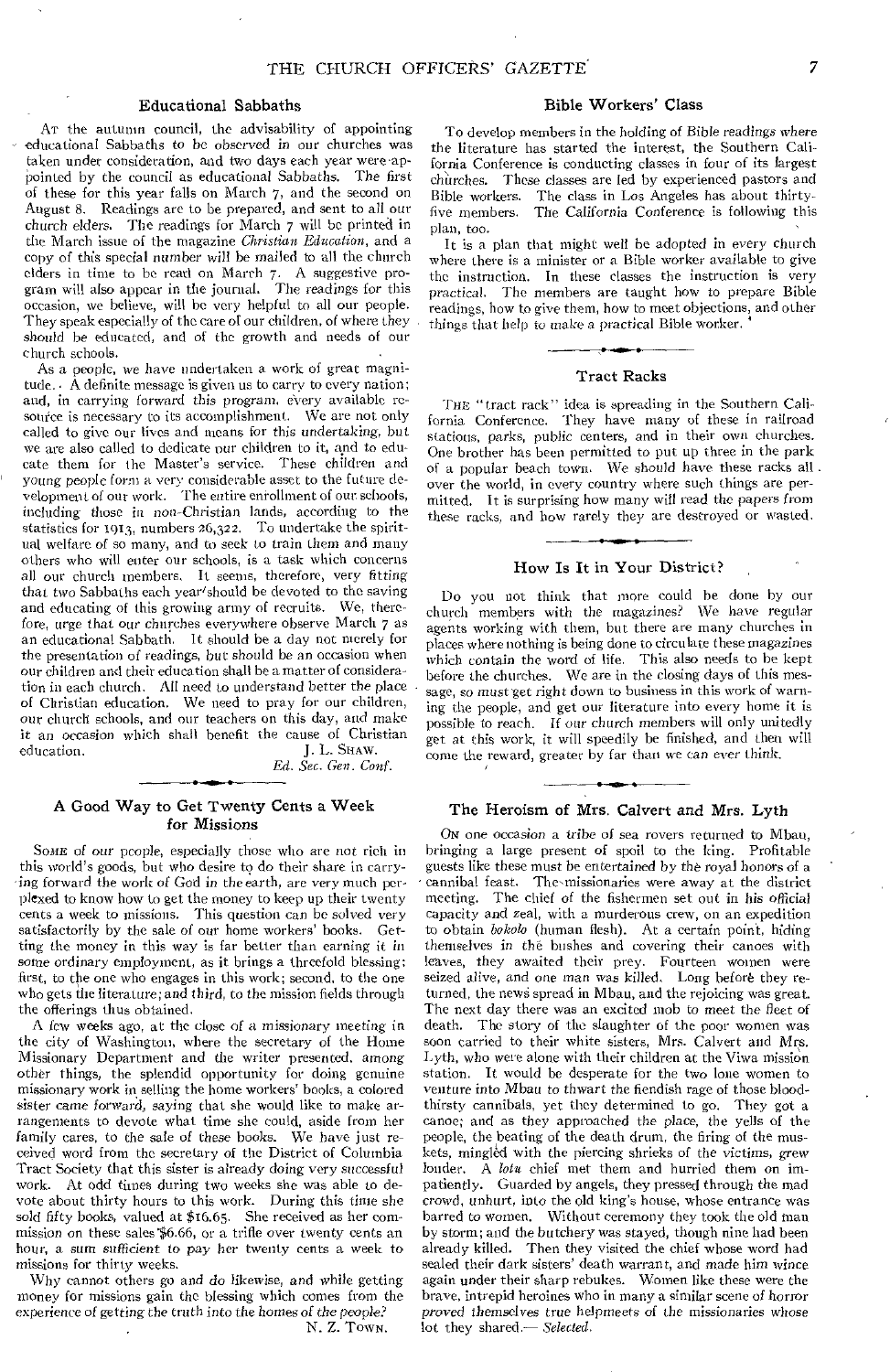## Educational Sabbaths

AT the autumn council, the advisability of appointing educational Sabbaths to be observed in our churches was taken under consideration, and two days each year were.appointed by the council as educational Sabbaths. The first of these for this year falls on March 7, and the second on August 8. Readings are to be prepared, and sent to all our church elders. The readings for March 7 will be printed in the March issue of the magazine *Christian Education,* and a copy of this special *number* will be mailed to all the church elders in time to be read on March 7. A suggestive program will also appear in the journal. The *readings* for this occasion, we believe, will be very helpful to all our people. They speak especially of the care of our children, of where they should be educated, and of the growth and needs of our church schools.

As a people, we have undertaken a work of great magnitude.  $\overline{A}$  definite message is given us to carry to every nation; and, in carrying forward this program, every available resource is necessary to its accomplishment. We are not only called to give our lives and means for this undertaking, but we are also called to dedicate our children to it, and to educate them for the Master's service. These children and young people form a very considerable asset to the future development of our work. The entire enrollment of our schools, including those in non-Christian lands, according to the statistics for 1613, numbers 26,322. To undertake the spiritual welfare of so many, and to seek to train them and many others who will enter our schools, is a task which concerns all our church members, It seems, therefore, very *fitting*  that two Sabbaths each year'should be devoted to the saving and educating of this growing army of recruits. We, therefore, urge that our churches everywhere observe March 7 as an educational Sabbath. It should be a day not merely for the presentation of readings, but *should* be an occasion when our children and their education shall be a matter of consideration in each church. All need to understand better the place of Christian education. We need to pray for our children, our church schools, and our teachers on this day, and make it an occasion which shall benefit the cause of Christian education. <br>I. L. SHAW. J. L. SHAW.

*Ed. Sec. Gen. Conf.* 

## A Good Way to Get Twenty Cents a Week for Missions

SOME *of* our people, especially those who are not rich in this world's goods, but who desire to do their share in carrying forward the work of God in the earth, are very much perplexed to know how to get the money to keep up their twenty cents a week to missions. This question can be solved very satisfactorily by the sale of our home workers' books. Getting the money in this way is far better than earning it in some *ordinary* employment, as it brings a threefold blessing: first, to the one who engages in this work; second, to the one who gets the literature; and third, to the mission fields through the offerings thus obtained.

A few weeks ago, at the close of a missionary meeting in the city of Washington, where the secretary of the Home Missionary Department and the writer presented, among other things, the splendid opportunity for doing genuine missionary work in selling the home workers' books, a colored sister came forward, saying that she would like to make arrangements to devote what time she could, aside from her family cares, to the sale of these books. We have just received word from the secretary of the District of Columbia Tract Society that this sister is already doing very successful work. At odd times during two weeks she was able to devote about thirty hours to this work. During this time she sold fifty books, valued at \$16.65. She received as her commission on these sales \$6.66, or a trifle over twenty cents an hour, a sum sufficient to pay her twenty cents a week to missions for thirty weeks,

Why cannot others go and do likewise, and while getting money for missions gain the blessing which comes from the experience *of* getting the *truth* into the homes of *the people?* 

*N.* Z. TOWN.

#### Bible Workers' Class

To develop members in the holding of Bible readings where the literature has started the interest, the Southern California Conference is conducting classes in four of its largest churches. These classes are led by experienced pastors and Bible workers. The class in Los Angeles has about thirtyfive members. The California Conference is following this plan, too.

It is a plan that might well be adopted in every church where there is a minister or a Bible worker available to give the instruction. In these classes the instruction is very practical. The members are taught how to prepare Bible readings, how to give them, how to meet objections, and other things that help *to* make a practical Bible worker.

#### Tract Racks

THE "tract rack" idea is spreading in the Southern California Conference. They have many of these in railroad stations, parks, public centers, and in their own churches. One brother has been permitted to put up three in the park of a popular beach town. We should have these racks all . over the world, in every country where such things are permitted. It is surprising how many will read the papers from these racks, and how rarely they are destroyed or wasted.

#### How Is It in Your District?

Do you not think that more could be done by our church members with the magazines? We have regular agents working with them, but there are many churches in places where nothing is being done to circulate these *magazines*  which contain the word of life, This also needs to be kept before the churches. We are in the closing days of this message, so must get right down to business in this work of warning the people, and get our literature into every home it is possible to reach. If our church members will only unitedly get at this work, it will speedily be finished, and then will come the reward, greater by far than we can ever think.

#### The Heroism of Mrs. Calvert and Mrs. Lyth

ON one occasion a tribe of sea rovers returned to Mbau, bringing a large present of spoil to the king. Profitable guests like these must be entertained by the royal honors of a cannibal feast. The-missionaries were away at the district meeting. The chief of the fishermen set out in his official capacity and zeal, with a murderous crew, on an expedition to obtain *bokolo* (human flesh). At a certain point, hiding themselves in the bushes and covering their canoes with leaves, they awaited their prey. Fourteen women were seized alive, and one *man* was killed. Long before they returned, the news spread in Mbau, and the rejoicing was great. The next day there was an excited mob to meet the fleet of death. The story of the slaughter of the poor women was soon carried to their white sisters, Mrs. Calvert and Mrs. Lyth, who were alone with their children at the Viwa mission station. It would be desperate for the two lone women to venture into Mbau to thwart the fiendish rage of those bloodthirsty cannibals, yet they determined to go. They got a canoe; and as they approached the place, the yells of the people, the beating of the death drum, the firing of the muskets, mingled with the piercing shrieks of the victims, grew louder. A *Iota* chief met them and hurried them on impatiently. Guarded by angels, they pressed through the mad crowd, unhurt, into the old king's house, whose entrance was barred to women. Without ceremony they took the old man by storm; and the butchery was stayed, though nine had been already killed. Then they visited the chief whose word had sealed their dark sisters' death warrant, and made him wince again under their sharp rebukes. Women like these were the brave, intrepid heroines who in many a similar scene of horror *proved* themselves true helpmeets *of* the missionaries whose lot they shared - Selected.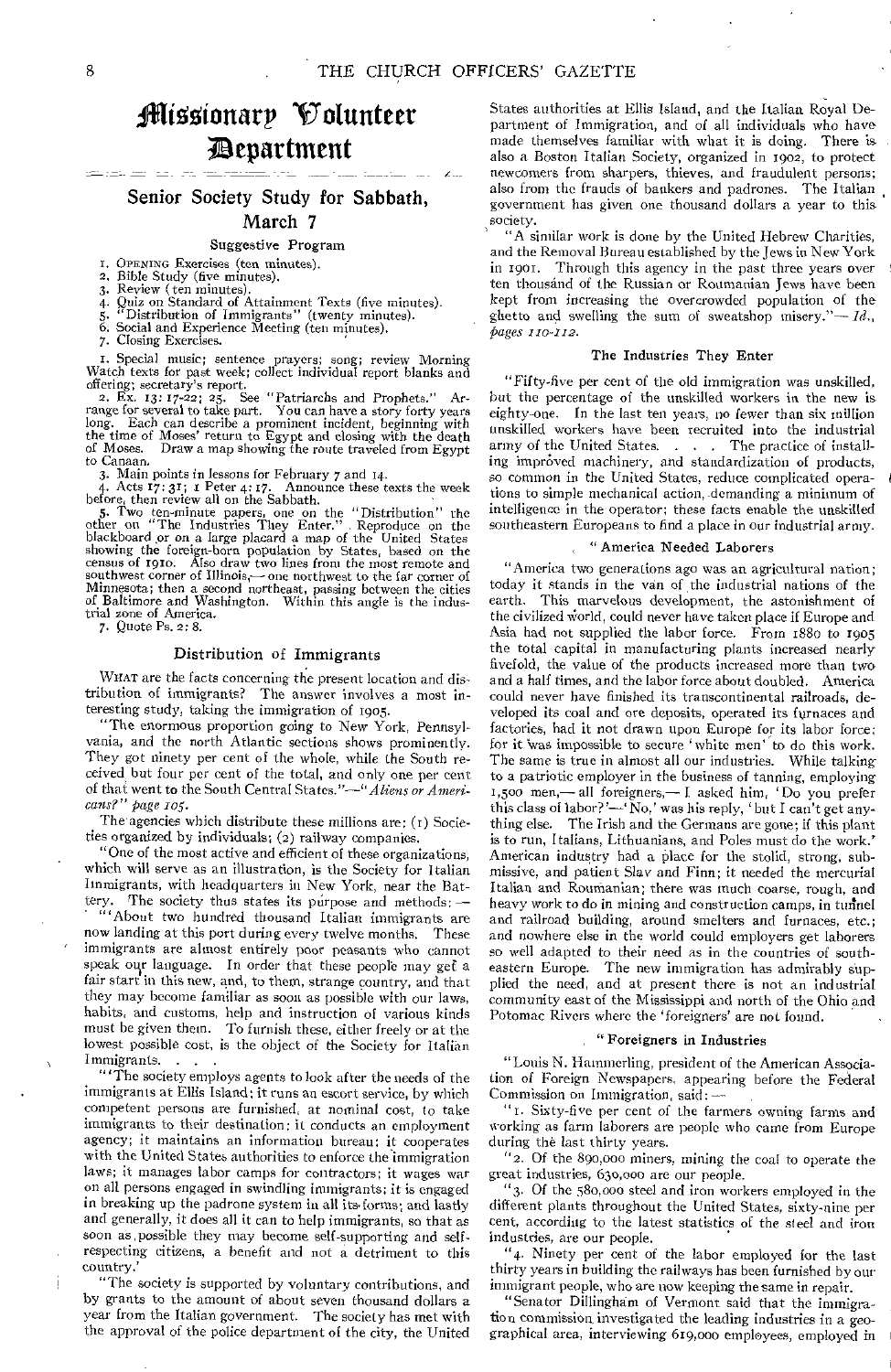# flitootonarp Volunteer apartment

## Senior Society Study for Sabbath, March 7

#### Suggestive Program

- I. OPENING Exercises (ten minutes).
- 2. Bible Study (five minutes). 3. Review ( ten minutes).
- 
- 4. Quiz on Standard of Attainment Texts (five minutes).<br>5. "Distribution of Immigrants" (twenty minutes).<br>6. Social and Experience Meeting (ten minutes).
- 
- 
- 7. Closing Exercises.

I. Special music; sentence prayers; song; review Morning Watch texts for past week; collect individual report blanks and

offering; secretary's report. 2. Ex. 13: 17-22; 25. See "Patriarchs and Prophets." Ar-range for several to take part. You can have a story forty years long. Each can describe a prominent incident, beginning with the time of Moses' return to Egypt and closing with the death of Moses. Draw a map showing the route traveled from Egypt to Canaan,

3. Main points in lessons for February 7 and r4.

4. Acts  $\vec{17}$ :  $3\vec{1}$ ;  $\vec{1}$  Peter 4: 17. Announce these texts the week<br>before, then review all on the Sabbath.<br>5. Two ten-minute papers, one on the "Distribution" the<br>other on "The Industries They Enter." Reproduc southwest corner of Illinois,— one northwest to the far corner of Minnesota; then a second northeast, passing between the cities of Baltimore and Washington. Within this angle is the industrial zone of America.

7. Quote Ps. 2: 8.

## Distribution of Immigrants

WHAT are the facts concerning the present location and distribution of immigrants? The answer involves a most interesting study, taking the immigration of 1905.

"The enormous proportion going to New York, Pennsylvania, and the north Atlantic sections shows prominently. They got ninety per cent of the whole, while the South received but four per cent of the total, and only one per cent of that went to the South Central States."—"Aliens *or Americans?" page 105.* 

The agencies which distribute these millions are: (t) Societies organized by individuals; (2) railway companies.

"One of the most active and efficient of these organizations, which will serve as an illustration, is the Society for Italian Immigrants, with headquarters in New York, near the Battery. The society thus states its purpose and methods:

"'About two hundred thousand Italian immigrants are now landing at this port during every twelve months. These immigrants are almost entirely poor peasants who cannot speak our language. In order that these people may gef a fair start in this new, and, to them, strange country, and that they may become familiar as soon as possible with our laws, habits, and customs, help and instruction of various kinds must be given them. To furnish these, either freely or at the lowest possible cost, is the object of the Society for Italian Immigrants.

"'The society employs agents to look after the needs of the immigrants at Ellis Island; it runs an escort service, by which competent persons are furnished, at nominal cost, to take immigrants to their destination: it conducts an employment agency; it maintains an information bureau; it cooperates with the United States authorities to enforce the immigration laws; it manages labor camps for contractors; it wages war on all persons engaged in swindling immigrants; it is engaged in breaking up the padrone system in all its forms; and lastly and generally, it does all it can to help immigrants, so that as soon as, possible they may become self-supporting and selfrespecting citizens, a benefit and not a detriment to this country.'

"The society is supported by voluntary contributions, and by grants to the amount of about seven thousand dollars a year from the Italian government. The society has met with the approval of the police department of the city, the United

į

States authorities at Ellis Island, and the Italian Royal Department of Immigration, and of all individuals who have made themselves familiar with what it is doing. There is also a Boston Italian Society, organized in 1902, to protect newcomers from sharpers, thieves, and fraudulent persons; also from the frauds of bankers and padrones. The Italian government has given one thousand dollars a year to this society.

"A similar work is done by the United Hebrew Charities, and the Removal Bureau established by the Jews in New York in 1901. Through this agency in the past three years over ten thousand of the Russian or Roumanian Jews have been kept from increasing the overcrowded population of the ghetto and swelling the sum of sweatshop misery." $-Id$ . *pages 110-112.* 

#### The Industries They Enter

"Fifty-five per cent of the old immigration was unskilled, but the percentage of the unskilled workers in the new is eighty-one. In the last ten years, no fewer than six million unskilled workers have been recruited into the industrial army of the United States. . . . The practice of installing improved machinery, and standardization of products, so common in the United States, reduce complicated operations to simple mechanical action, demanding a minimum of intelligence in the operator; these facts enable the unskilled southeastern Europeans to find a place in our industrial army.

## " America Needed Laborers

"America two generations ago was an agricultural nation; today it stands in the van of the industrial nations of the This marvelous development, the astonishment of the civilized world, could never have taken place if Europe and Asia had not supplied the labor force. From 1880 to 1905 the total capital in manufacturing plants increased nearly fivefold, the value of the products increased more than two, and a half times, and the labor force about doubled. America could never have finished its transcontinental railroads, developed its coal and ore deposits, operated its furnaces and factories, had it not drawn upon Europe for its labor force; for it 'was impossible to secure 'white men' to do this work. The same is true in almost all our industries. While talking to a patriotic employer in the business of tanning, employing 1,500 men,— all foreigners,— I asked him, ' Do you prefer this class of labor? '—' No,' was his reply, ' but I can't get anything else. The Irish and the Germans are gone; if this plant is to run, Italians, Lithuanians, and Poles must do the work.' American industry had a place for the stolid, strong, submissive, and patient Slav and Finn; it needed the mercurial Italian and Roumanian; there was much coarse, rough, and heavy work to do in mining and construction camps, in tunnel and railroad building, around smelters and furnaces, etc.; and nowhere else in the world could employers get laborers so well adapted to their need as in the countries of southeastern Europe. The new immigration has admirably supplied the need, and at present there is not an industrial community east of the Mississippi and north of the Ohio and Potomac Rivers where the 'foreigners' are not found.

## " Foreigners in Industries

"Louis N. Hammerling, president of the American Association of Foreign Newspapers, appearing before the Federal Commission on Immigration, said: —

"1.Sixty-five per cent of the farmers owning farms and working as farm laborers are people who came from Europe during the last thirty years.

"2. Of the 890,000 miners, mining the coal to operate the great industries, 630,000 are our people.

"3. Of the 580,000 steel and iron workers employed in the different plants throughout the United States, sixty-nine per cent, according to the latest statistics of the steel and iron industries, are our people.

"4. Ninety per cent of the labor employed for the last thirty years in building the railways has been furnished by our immigrant people, who are now keeping the same in repair.

"Senator Dillingham of Vermont said that the immigration commission, investigated the leading industries in a geographical area, interviewing 619,000 employees, employed in

<u>الحديث المعامل المعام</u>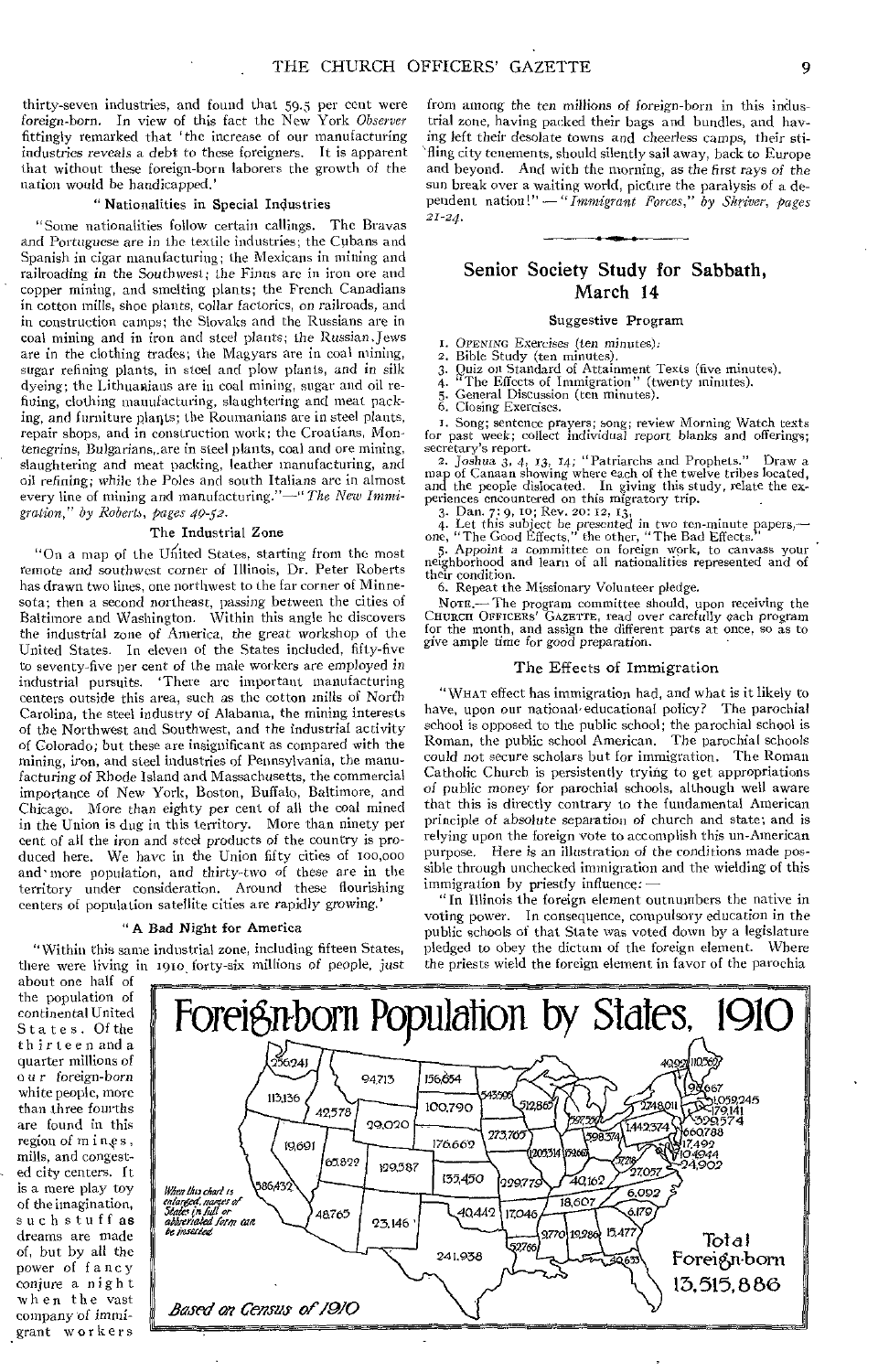thirty-seven industries, and found that 59.5 per cent were *foreign-born.* In view of this fact the New York *Observer*  fittingly remarked that 'the increase of our manufacturing industries reveals a debt to these foreigners. It is apparent that without these foreign-born laborers the growth of the nation would be handicapped.'

#### " Nationalities in Special Industries

"Some nationalities follow certain callings. The Bravas and Portuguese are in the textile industries; the Cubans and Spanish in cigar manufacturing; the Mexicans in mining and railroading in the *Southwest;* the Finns arc in iron ore and copper mining, and smelting plants; the French Canadians in cotton mills, shoe plants, collar factories, on railroads, and in construction camps; the Slovaks and the Russians are in coal mining and in iron and steel plants; the Russian.Jews are in the clothing trades; the Magyars are in coal mining, sugar refining plants, in steel and plow plants, and in silk dyeing; the Lithuanians are in coal mining, sugar and oil refining, clothing manufacturing, slaughtering and meat packing, and furniture plaqts; the Roumanians are in steel plants, repair shops, and in construction work; the Croatians, Montenegrins, Bulgarians,.are in steel plants, coal and ore mining, slaughtering and meat packing, leather manufacturing, and oil refining; while the Poles and south Italians are in almost every line of mining and manufacturing."-" The New Immi*gration," by Roberts, pages 49-52.* 

#### The Industrial Zone

"On a map of the United States, starting from the most remote and southwest corner of Illinois, Dr. Peter Roberts has drawn two lines, one northwest to the far corner of Minnesota; then a second *northeast,* passing between the cities of Baltimore and Washington. Within this angle he discovers the industrial zone of America, the great workshop of the United States. In eleven of the States included, fifty-five to seventy-five per cent of the male workers are employed in industrial pursuits. 'There arc important manufacturing centers outside this area, such as the cotton mills of Norfh Carolina, the steel industry of Alabama, the mining interests of the Northwest and Southwest, and the industrial activity *of* Colorado; but these are insignificant as compared with the mining, iron, and steel industries of Pennsylvania, the manufacturing of Rhode Island and Massachusetts, the commercial importance of New York, Boston, Buffalo, Baltimore, and Chicago. More than eighty per cent of all the coal mined in the Union is dug in this territory. More than ninety per cent of all the iron and steel products of the country is produced here. We have in the Union fifty cities of 100,o00 and' more population, and thirty-two of these are in the territory under consideration. Around these flourishing centers of population satellite cities are rapidly *growing.'* 

#### "A Bad Night for America

"Within this same industrial zone, including fifteen States, there were living in 1910, forty-six millions of people, just

from among the *ten* millions of foreign-born in this industrial zone, having packed their bags and bundles, and having left their desolate towns and cheerless camps, their sti- 'fling city tenements, should silently sail away, back to Europe and beyond. And with the morning, as the *first rays of* the sun break over a waiting world, picture the paralysis of a dependent nation!" *—" Immigrant Forces," by Shriver, pages 21-24.* 

# Senior Society Study for Sabbath, March 14

### Suggestive Program

I. OPENING Exercises (ten minutes):<br>2. Bible Study (ten minutes).

2. Bible Study (ten minutes).

3. Quiz on Standard of Attainment Texts (five minutes).

4. <sup>"The Effects of Immigration" (twenty minutes).</sup> 5. General Discussion (ten minutes).

5. General Discussors.<br>6. Closing Exercises.

I. Song; sentence prayers; song; review Morning Watch texts for past week; collect individual report blanks and offerings; secretary's report.

*2. Joshua 3, 4, 13, 14; "Patriarchs* and Prophets." Draw a map of Canaan showing where each of the twelve tribes located, and the people dislocated. In giving this study, relate the ex-<br>periences encountered on this migratory trip.

3. Dan. 7: 9, to; Rev. 20: 12, 13,

4. Let this subject be presented *in* two ten-minute papers,— one, "The Good Effects," the other, "The Bad Effects. 5. Appoint a committee on foreign work, to canvass your

neighborhood and learn of all nationalities represented and of their condition.

6. Repeat the Missionary Volunteer pledge.

NOTE.— The program committee should, upon receiving the CHURCH OFFICERS' GAZETTE, read over *carefully* each program for the month, and assign the different parts at once, so as to give ample time for good preparation.

#### The Effects of Immigration

"WHAT effect has immigration had, and what is it likely to have, upon our national' educational policy? The parochial school is opposed to the public school; the parochial school is Roman, the public school American. The parochial schools could not secure scholars but for immigration. The Roman Catholic Church is persistently trying to get appropriations of public money for parochial schools, although well aware that this is directly contrary to the fundamental American principle of absolute separation of church and state; and is relying upon the foreign vote to accomplish this un-American purpose. Here is an illustration of the conditions made possible through unchecked immigration and the wielding of this immigration by priestly influence:

" In Illinois the foreign element outnumbers the native in voting power. In consequence, compulsory education *in* the public schools of that State was voted down by a legislature pledged to obey the dictum of the foreign element. Where the priests wield the foreign element in favor of the parochia

about one half of the population of continental United States. Of the thirteen anda quarter millions of o u r *foreign-born*  white people, more than three fourths are found in this region of mines, mills, and congested city centers. It is a mere play toy of the imagination, such stuff as dreams are made of, but by all the power of f ancy conjure a night when the vast company of immigrant workers

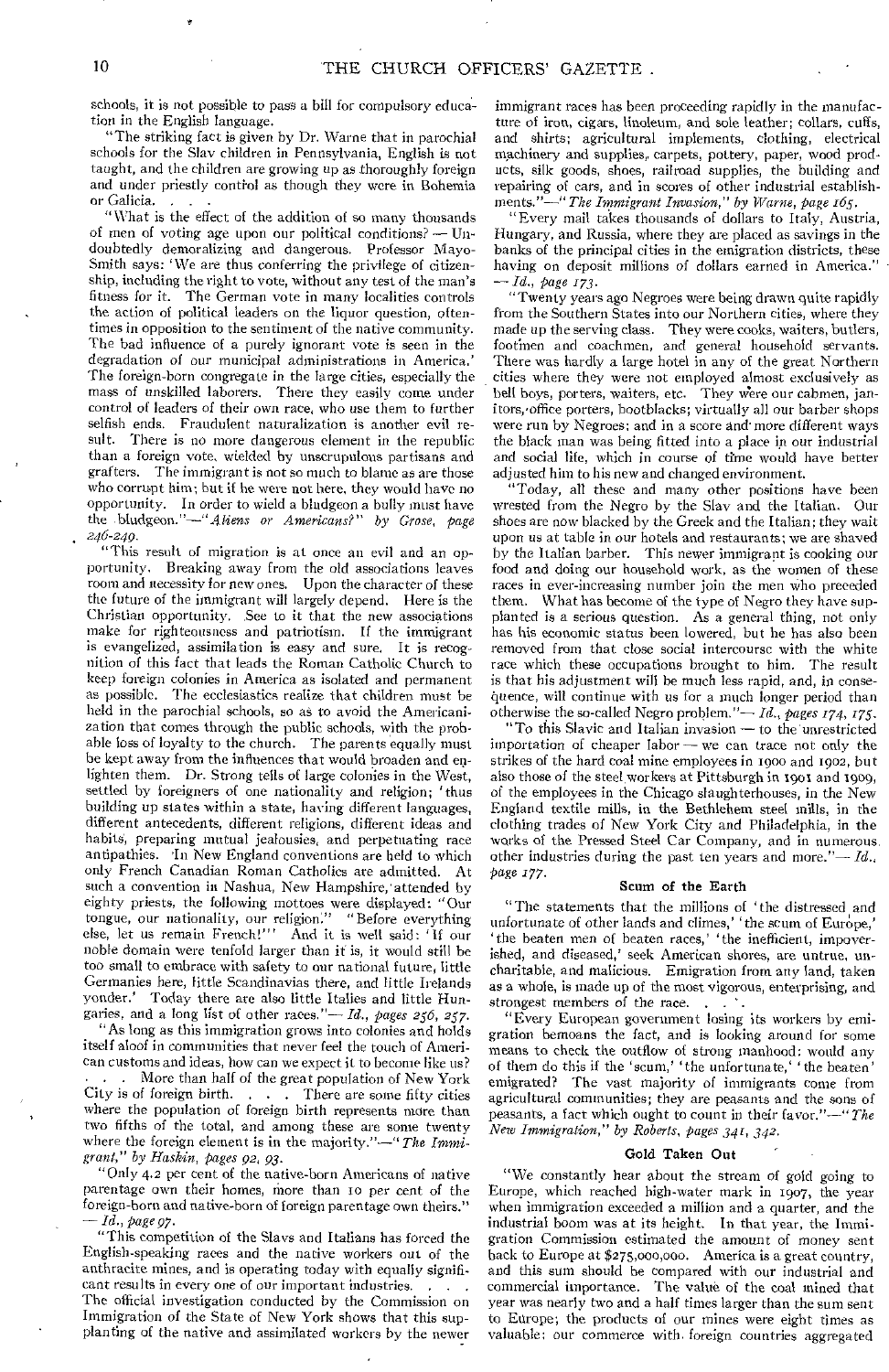schools, it is not possible to pass a bill for compulsory education in the English language.

"The striking fact is given by Dr. Warne that in parochial schools for the Slav children in Pennsylvania, English is not taught, and the children are growing up as thoroughly foreign and under priestly control as though they were in Bohemia or Galicia.

"What is the effect of the addition of so many thousands of men of voting age upon our political conditions? — Undoubtedly demoralizing and dangerous. Professor Mayo-Smith says: 'We are thus conferring the privilege of citizenship, including the right to vote, without any test of the man's fitness for it. The German vote in many localities controls the action of political leaders on the liquor question, oftentimes in opposition to the sentiment of the native community. The bad influence of a purely ignorant vote is seen in the degradation of our municipal administrations in America.' The foreign-born congregate in the large cities, especially the mass of unskilled laborers. There they easily come under control of leaders of their own race, who use them to further selfish ends. Fraudulent naturalization is another evil result. There is no more dangerous element in the republic than a foreign vote, wielded by unscrupulous partisans and grafters. The immigrant is not so much to blame as are those who corrupt him; but if he were not here, they would have no opportunity. In order to wield a bludgeon a bully must have the .bludgeon."—"*Aliens or Americans?" by Grose, page . 246-249.* 

"This result of migration is at once an evil and an opportunity. Breaking away from the old associations leaves room and necessity for new ones. Upon the character of these the future of the immigrant will largely depend. Here is the Christian opportunity. See to it that the new associations make for righteousness and patriotism. If the immigrant is evangelized, assimilation is easy and sure, It is recognition of this fact that leads the Roman Catholic Church to keep foreign colonies in America as isolated and permanent as possible. The ecclesiastics realize that children must be held in the parochial schools, so as to avoid the Americanization that comes through the public schools, with the probable loss of loyalty to the church. The parents equally must be kept away from the influences that would broaden and enlighten them. Dr. Strong tells of large colonies in the West, settled by foreigners of one nationality and religion; 'thus building up states within a state, having different languages, different antecedents, different religions, different ideas and habits, preparing mutual jealousies, and perpetuating race antipathies. 'In New England conventions are held to which only French Canadian Roman Catholics are admitted. At such a convention in Nashua, New Hampshire, attended by eighty priests, the following mottoes were displayed: "Our tongue, our nationality, our religion:" " Before everything else, let us remain French!"' And it is well said: 'If our noble domain were tenfold larger than it is, it would still be too small to embrace with safety to our national future, little Germanies here, little Scandinavias there, and little Irelands Today there are also little Italies and little Hungaries, and a long list of other races."— *Id., pages 256, 257.*  "As long as this immigration grows into colonies and holds itself aloof in communities that never feel the touch of American customs and ideas, how can we expect it to become like us? ... More than half of the great population of New York<br>City is of foreign birth.... There are some fifty cities  $\ldots$  . There are some fifty cities where the population of foreign birth represents more than two fifths of the total, and among these are some twenty where the foreign element is in the majority."—" *The Immigrant," by Haskin, pages 92, 93.* 

"Only 4.2 per cent of the native-born Americans of native parentage own their homes, more than 10 per cent of the foreign-horn and native-born of foreign parentage own theirs." *-- Id., page 97.* 

"This competition of the Slays and Italians has forced the English-speaking races and the native workers out of the anthracite mines, and is operating today with equally significant results in every one of our important industries.

The official investigation conducted by the Commission on Immigration of the State of New York shows that this supplanting of the native and assimilated workers by the newer

immigrant races has been proceeding rapidly in the manufacture of iron, cigars, linoleum, and sole leather; collars, cuffs, and shirts; agricultural implements, clothing, electrical machinery and supplies, carpets, pottery, paper, wood products, silk goods, shoes, railroad supplies, the building and repairing of cars, and in scores of other industrial establishments."—" *The Immigrant Invasion," by Warne, page 165.* 

"Every mail takes thousands of dollars to Italy, Austria, Hungary, and Russia, where they are placed as savings in the banks of the principal cities in the emigration districts, these having on deposit millions of dollars earned in America." *— Id., page 173.* 

"Twenty years ago Negroes were being drawn quite rapidly from the Southern States into our Northern cities, where they made up the serving class. They were cooks, waiters, butlers, footmen and coachmen, and general household servants. There was hardly a large hotel in any of the great Northern cities where they were not employed almost exclusively as bell boys, porters, waiters, etc. They were our cabmen, janitors,'office porters, bootblacks; virtually all our barber shops were run by Negroes; and in a score and' more different ways the black man was being fitted into a place in our industrial and social life, which in course of time would have better adjusted him to his new and changed environment.

"Today, all these and many other positions have been wrested from the Negro by the Slav and the Italian. Our shoes are now' blacked by the Greek and the Italian; they wait upon us at table in our hotels and restaurants; we are shaved by the Italian barber. This newer immigrant is cooking our food and doing our household work, as the women of these races in ever-increasing number join the men who preceded them. What has become of the type of Negro they have supplanted is a serious question. As a general thing, not only has his economic status been lowered, but he has also been removed from that close social intercourse with the white race which these occupations brought to him. The result is that his adjustment will be much less rapid, and, in consequence, will continue with us for a much longer period than otherwise the so-called Negro problem."— *Id., pages 174, 175.* 

"To this Slavic and Italian invasion — to the unrestricted importation of cheaper labor  $-$  we can trace not only the strikes of the hard coal mine employees in 1900 and 1902, but also those of the steel workers at Pittsburgh in 1901 and 1909, of the employees in the Chicago slaughterhouses, in the New England textile mills, in the Bethlehem steel mills, in the clothing trades of New York City and Philadelphia, in the works of the Pressed Steel Car Company, and in numerous, other industries during the past ten years and more."— *Id.,*  page 177.

#### Scum of the Earth

"The statements that the millions of 'the distressed and unfortunate of other lands and climes,' 'the scum of Europe,' 'the beaten men of beaten races,' 'the inefficient, impoverished, and diseased,' seek American shores, are untrue, uncharitable, and malicious. Emigration from any land, taken as a whole, is made up of the most vigorous, enterprising, and strongest members of the race...

"Every European government losing its workers by emigration bemoans the fact, and is looking around for some means to check the outflow of strong manhood: would any of them do this if the 'scum,' 'the unfortunate,' 'the beaten' emigrated? The vast majority of immigrants come from agricultural communities; they are peasants and the sons of peasants, a fact which ought to count in their favor."—" *The New Immigration," by Roberts, pages 341, 342.* 

#### Gold Taken Out

"We constantly hear about the stream of gold going to Europe, which reached high-water mark in 1007, the year when immigration exceeded a million and a quarter, and the industrial boom was at its height. In that year, the Immigration Commission estimated the amount of money sent back to Europe at \$275,000,000. America is a great country, and this sum should be compared with our industrial and commercial importance. The value of the coal mined that year was nearly two and a half times larger than the sum sent to Europe; the products of our mines were eight times as valuable; our commerce with foreign countries aggregated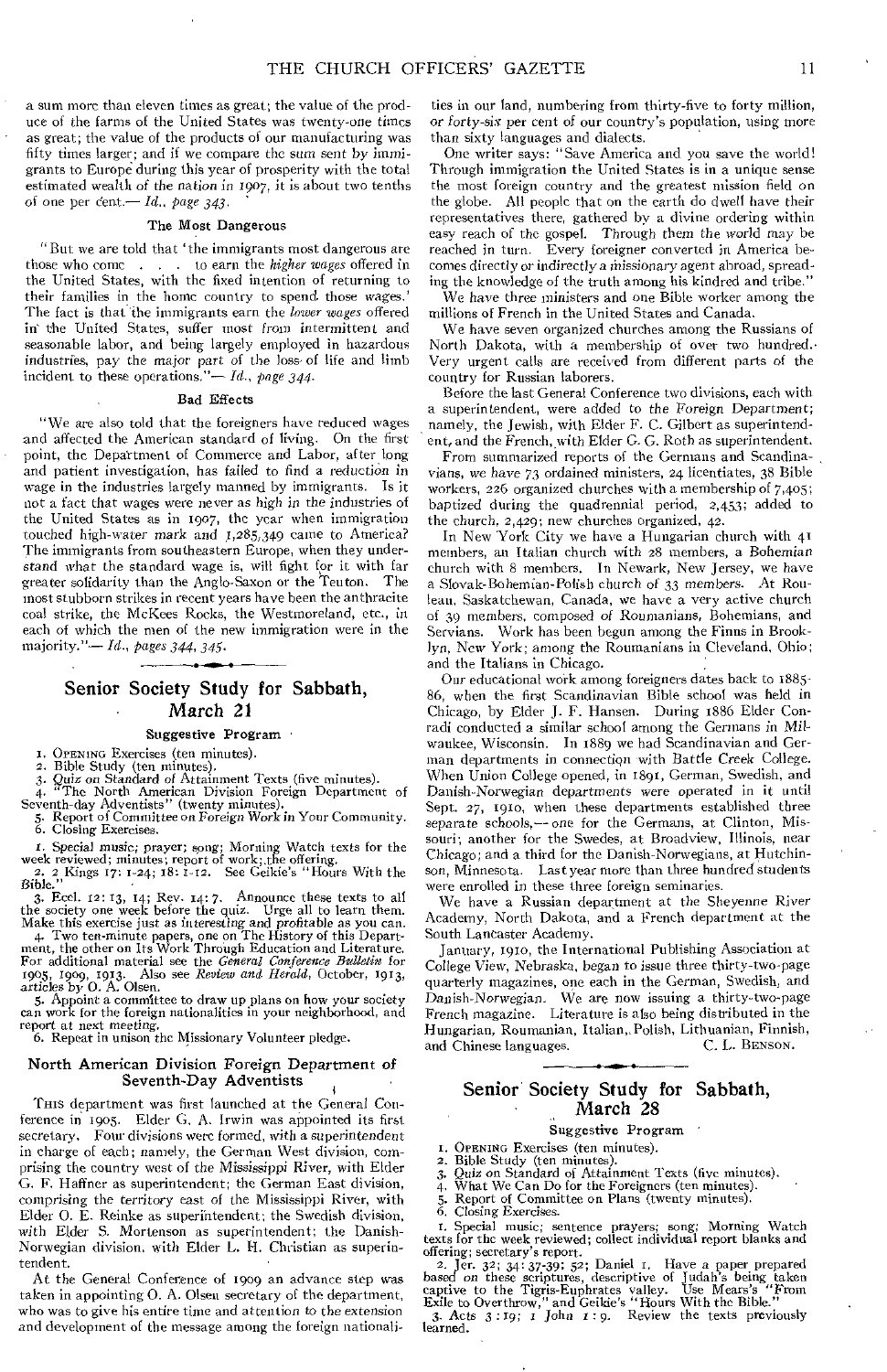a sum more than eleven times as great; the value of the produce of the farms of the United States was twenty-one times as great; the value of the products of our manufacturing was fifty times larger; and if we compare the sum sent by *immigrants* to Europe during this year of prosperity with the total estimated wealth of the *nation in 1907, it* is about two tenths of one per cent.-*Id., page 343.* 

#### The Most Dangerous

"But we are told that 'the immigrants most dangerous are those who come . . . to earn the *higher wages* offered in the United States, with the fixed intention of returning to their families in the home country to spend those wages.' The fact is that the immigrants earn the *lower wages* offered in the United States, suffer most *from* intermittent and seasonable labor, and being largely employed in hazardous industries, pay the major part of the loss of life and limb incident to these operations."-*Id.*, page 344.

#### Bad Effects

"We are also told that the foreigners have reduced wages and affected the American standard of living. On the first point, the Department of Commerce and Labor, after long and patient investigation, has failed to find a reduction in wage in the industries largely manned by immigrants. Is it not a fact that wages were never as high in the industries of the United States as in 1907, the year when immigration touched high-water *mark and* 1,285,349 came to America? The immigrants from southeastern Europe, when they understand what the standard wage is, will fight for it with far greater solidarity than the Anglo-Saxon or the Teuton. The most stubborn strikes in recent years have been the anthracite coal strike, the McKees Rocks, the Westmoreland, etc., in each of which the men of the new immigration were in the majority."- *Id., pages 344, 345.* 

# Senior Society Study for Sabbath, March 21

## Suggestive Program

I. OPENING Exercises (ten minutes).

2. Bible Study (ten minutes).

*3. Quiz on* Standard *of* Attainment Texts (five minutes). 4. The North American Division Foreign Department of Seventh-day Adventists" (twenty minutes).

5. Report of Committee on *Foreign* Work in Your Community. 6. Closing Exercises.

1. Special music; prayer; song; Morning Watch texts for the week reviewed; minutes; report of work; the offering. 2. 2 Kings 17: 1-24; 18: 1-12. See Geikie's "Hours With the Bible."

3. Eccl.  $12: 13$ ,  $14$ ; Rev.  $14: 7$ . Announce these texts to all the society one week before the quiz. Urge all to learn them. Make this exercise just as interesting and profitable as you can.

4. Two ten-minute papers, one on The History of this Department, the other on Its Work Through Education and Literature.<br>For additional material see the *General Conference Bulletin* for 1905, 1909, 1913. Also see *Review* 1905, 1909, 1913. Also<br>articles by O. A. Olsen.

5. Appoint a committee to draw up plans on how your society can work for the foreign nationalities in your neighborhood, and report at next *meeting.* 

6. Repeat in unison the Missionary Volunteer pledge.

#### North American Division Foreign Department of Seventh-Day Adventists

'Ems department was first launched at the General Conference in 1905. Elder G. A. Irwin was appointed its first secretary. Four divisions were formed, with a superintendent in charge of each; namely, the German West division, comprising the country west of the Mississippi River, with Elder G. F. Haffner as superintendent; the German East division, comprising the territory east of the Mississippi River, with Elder 0. E. Reinke as superintendent; the Swedish division, with Elder S. Mortenson as superintendent; the Danish-Norwegian division, with Elder L. H. Christian as superintendent.

At the General Conference of 1909 an advance step was taken in appointing 0. A. Olsen secretary of the department, who was to give his entire time and attention to the *extension*  and development of the message among the foreign nationali-

ties in our land, numbering from thirty-five to forty million, or *forty-six* per cent of our country's population, using more than sixty languages and dialects.

One writer says: "Save America and you save the world! Through immigration the United States is in a unique sense the most foreign country and the greatest mission field on the globe. All people that on the earth do dwell have *their*  representatives there, gathered by a divine ordering within easy reach of the gospel. Through them the world may be reached in turn. Every foreigner converted in America becomes directly or indirectly a missionary agent abroad, spreading the knowledge of the truth among his kindred and tribe."

We have three ministers and one Bible worker among the millions of French in the United States and Canada.

We have seven organized churches among the Russians of North Dakota, with a membership of over two hundred. Very urgent calls are received from different parts of the country for Russian laborers.

Before the last General Conference two divisions, each with a superintendent, were added to the Foreign Department; namely, the Jewish, with Elder F. C. Gilbert as superintendent, and the French, with Elder G. G. Roth as superintendent.

From summarized reports of the Germans and Scandinavians, we have 73 ordained ministers, 24 licentiates, 38 Bible workers, 226 organized churches with a membership of 7,405; baptized during the quadrennial period, 2,453; added to the church, 2,429; new churches organized, 42.

In New York City we have a Hungarian church with 41 members, an Italian church with 28 members, a Bohemian church with 8 members. In Newark, New Jersey, we have a Slovak-Bohemian-Polish church of 33 members. At Rom leau, Saskatchewan, Canada, we have a very active church of 39 members, composed *of* Roumanians, Bohemians, and Servians. Work has been begun among the Finns in Brooklyn, New York; among the Roumanians in Cleveland, Ohio; and the Italians in Chicago.

Our educational work among foreigners dates back to 1885- 86, when the first Scandinavian Bible school was held in Chicago, by Elder J. F. Hansen. During 1886 Elder Conradi conducted a similar school among the Germans in Milwaukee, Wisconsin. In 1889 we had Scandinavian and German departments in connection with Battle Creek College. When Union College opened, in 1891, German, Swedish, and Danish-Norwegian departments were operated in it until Sept. 27, 1910, when these departments established three separate schools,— one for the Germans, at Clinton, Missouri; another for the Swedes, at Broadview, Illinois, near Chicago; and a third for the Danish-Norwegians, at Hutchinson, Minnesota. Last year more than three hundred students were enrolled in these three foreign seminaries.

We have a Russian department at the Sheyenne River Academy, North Dakota, and a French department at the South Lancaster Academy.

January, 191o, the International Publishing Association at College View, Nebraska, began to issue three thirty-two-page quarterly magazines, one each in the German, Swedish, and Danish-Norwegian. We are now issuing a thirty-two-page French magazine. Literature is also being distributed in the Hungarian, Roumanian, Italian,. Polish, Lithuanian, Finnish, and Chinese languages.

## Senior Society Study for Sabbath, March 28

#### Suggestive Program

I. OPENING Exercises (ten minutes).<br>2. Bible Study (ten minutes).

2. Bible Study (ten minutes).

- *3. Quiz on* Standard of Attainment Texts (five minutes). 4. What We Can Do for the Foreigners (ten minutes). 5. Report of Committee on Plans (twenty minutes).
- 
- 
- 6. Closing Exercises.

1. Special music; sentence prayers; song; Morning Watch texts for the week reviewed; collect individual report blanks and offering; secretary's report.

2. Jer. 32; 34: 37-39; 52; Daniel 1. Have a paper prepared based on these scriptures, descriptive of Judah's being taken captive to the Tigris-Euphrates valley. Use Mears's "From Exile to Overthrow," and Geikie's "Hours W

learned.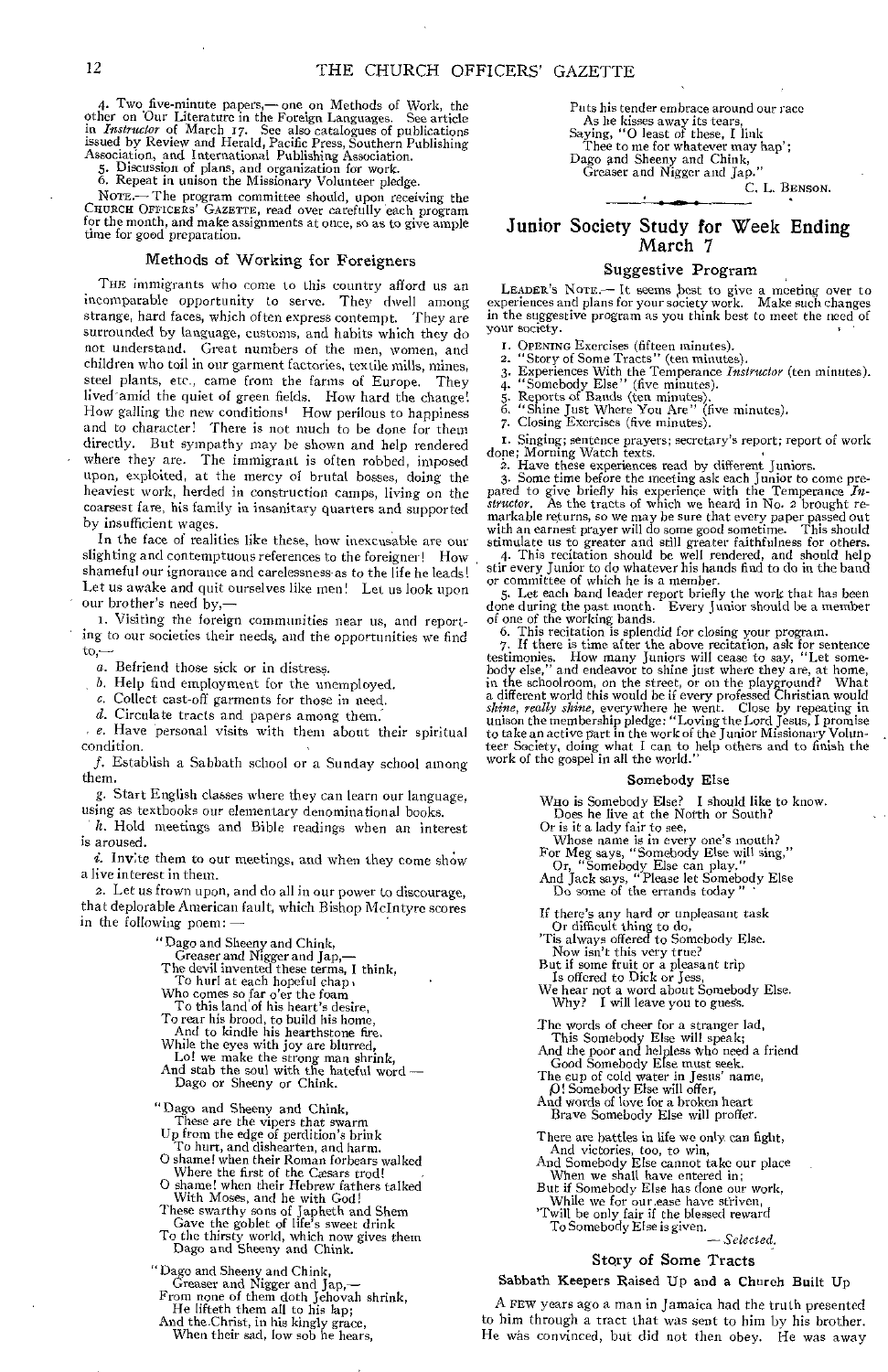4. Two five-minute papers,—one on Methods of Work, the other on Our Literature in the Foreign Languages. See article in *Instructor* of March 17. See also catalogues of publications issued by Review and Herald, Pacific Pre

5. Discussion of plans, and organization for work. 6. Repeat in unison the Missionary Volunteer pledge.

NOTE.—The program committee should, upon receiving the CHURCH OFFICERS' GAZETTE, read over carefully each program for the month, and make assignments at once, so as to give ample time for good preparation.

#### Methods of Working for Foreigners

THE immigrants who come to this country afford us an incomparable opportunity to serve. They dwell among strange, hard faces, which often express contempt. They are surrounded by language, customs, and habits which they do not understand. Great numbers of the men, women, and children who toil in our garment factories, textile mills, mines, steel plants, etc., came from the farms of Europe. They lived amid the quiet of green fields. How hard the change! How galling the new conditions' How perilous to happiness and to character! There is not much to be done for them directly. But sympathy may be shown and help rendered where they are. The immigrant is often robbed, imposed upon, exploited, at the mercy of brutal bosses, doing the heaviest work, herded in construction camps, living on the coarsest fare, his family in insanitary quarters and supported by insufficient wages.

In the face of realities like these, how inexcusable are our slighting and contemptuous references to the foreigner! How shameful our ignorance and carelessness-as to the life he leads! Let us awake and quit ourselves like men! Let us look upon our brother's need by,—

i. Visiting the foreign communities near us, and reporting to our societies their needs, and the opportunities we find to,—

a. Befriend those sick or in distress.

b. Help find employment for the unemployed.

c. Collect cast-off garments for those in need.

d. Circulate tracts and papers among them.

 $e$ . Have personal visits with them about their spiritual condition.

f. Establish a Sabbath school or a Sunday school among them.

g. Start English classes where they can learn our language, using as textbooks our elementary denominational books.

h. Hold meetings and Bible readings when an interest is aroused.

 $i.$  Invite them to our meetings, and when they come show a live interest in them.

2. Let *us* frown upon, and do all in our power to discourage, that deplorable American fault, which Bishop McIntyre scores in the following poem: —

- 
- "Dago and Sheeny and Chink, Greaser and Nigger and Jap,— The devil invented these terms, I think, To hurl at each hopeful chap Who comes so far o'er the foam
- 
- 
- To this land of his heart's desire,
- To rear his brood, to build his home,
- And to kindle his hearthstone fire.
- While the eyes with joy are blurred,
- Lo! we make the strong man shrink, And stab the soul with the hateful word Dago or Sheeny or Chink.

"Dago and Sheeny and Chink,

- These are the vipers that swarm Up from the edge of perdition's brink
- 
- 
- 
- 
- To hurt, and dishearten, and harm.<br>O shame! when their Roman forbears walked<br>Where the first of the Casars trod!<br>O shame! when their Hebrew fathers talked<br>With Moses, and he with God!<br>These swarthy sons of Japheth and Shem

"Dago and Sheeny and Chink, Greaser and Nigger and Jap,— From none of them doth Jehovah shrink, He lifteth them all to his lap;

And the Christ, in his kingly grace, When their sad, low sob he hears, Puts his tender embrace around our race As he kisses away its tears, Saying, "0 least of these, I link Thee to me for whatever may hap'; Dago and Sheeny and Chink,<br>Greaser and Nigger and Jap."

C. L. BENSON.

## Junior Society Study for Week Ending March 7

•

## Suggestive Program

LEADER'S NOTE.— It seems best to give a meeting over to experiences and plans for your society work. Make such changes in the suggestive program as you think best to meet the need of your society.

- 
- 
- I. OPENING Exercises (fifteen minutes). 2. "Story of Some Tracts" (ten minutes). 3. Experiences With the Temperance *Instructor* (ten minutes).
- 
- 
- 4. "Somebody Else" (five minutes). 5. Reports of Bands (ten minutes). 6. "Shine Just Where You Are" (five minutes). 7. Closing Exercises (five minutes).

I. Singing; sentence prayers; secretary's report; report of work done; Morning Watch texts.

2. Have these experiences read by different Juniors.

3. Some time before the meeting ask each Junior to come prepared to give briefly his experience with the Temperance *In-structor.* As the tracts of which we heard in No. 2 brought remarkable returns, so we may be sure that every paper passed out with an earnest prayer will do some good sometime. This should

stimulate us to greater and still greater faithfulness for others. 4. This recitation should be well rendered, and should help stir every Junior to do whatever his hands find to do in the band or committee of which he is a member.

5. Let each band leader report briefly the work that has been<br>done during the past month. Every Junior should be a member<br>of one of the working bands.<br>6. This recitation is splendid for closing your program.<br>7. If there is *shine, really shine*, everywhere he went. Close by repeating in unison the membership pledge: "Loving the Lord Jesus, I promise to take an active part in the work of the Junior Missionary Volunteer Society, doing what I c

#### Somebody Else

WHo is Somebody Else? I should like to know. Does he live at the North or South?

Or is it a lady fair to see,

Whose name is in every one's mouth?<br>For Meg says, "Somebody Else will sing,"<br>Or, "Somebody Else can play."<br>And Jack says, "Please let Somebody Else<br>Do some of the errands today"

If there's any hard or unpleasant task

- Or difficult thing to do, 'Tis always offered to Somebody Else.
- 
- 

Now isn't this very true? But if some fruit or a pleasant trip Is offered to Dick or Jess, We hear not a word about Somebody Else, Why? I will leave you to guess.

The words of cheer for a stranger lad,

This Somebody Else will speak; And the poor and helpless who need a friend Good Somebody Else must seek. The cup of cold water in Jesus' name,

p! Somebody Else will offer, And words of love for a broken heart

Brave Somebody Else will proffer.

- There are battles in life we only can fight,
- And victories, too, to win, And Somebody Else cannot take our place
- When we shall have entered in; But if Somebody Else has done our work,
- While we for our ease have striven, 'Twill be only fair if the blessed reward To Somebody Else is given.

*—Selected.* 

## Story of Some Tracts

#### Sabbath Keepers Raised Up and a Church Built Up

A FEW years ago a man in Jamaica had the truth presented to him through a tract that was sent to him by his brother. He was convinced, but did not then obey. He was away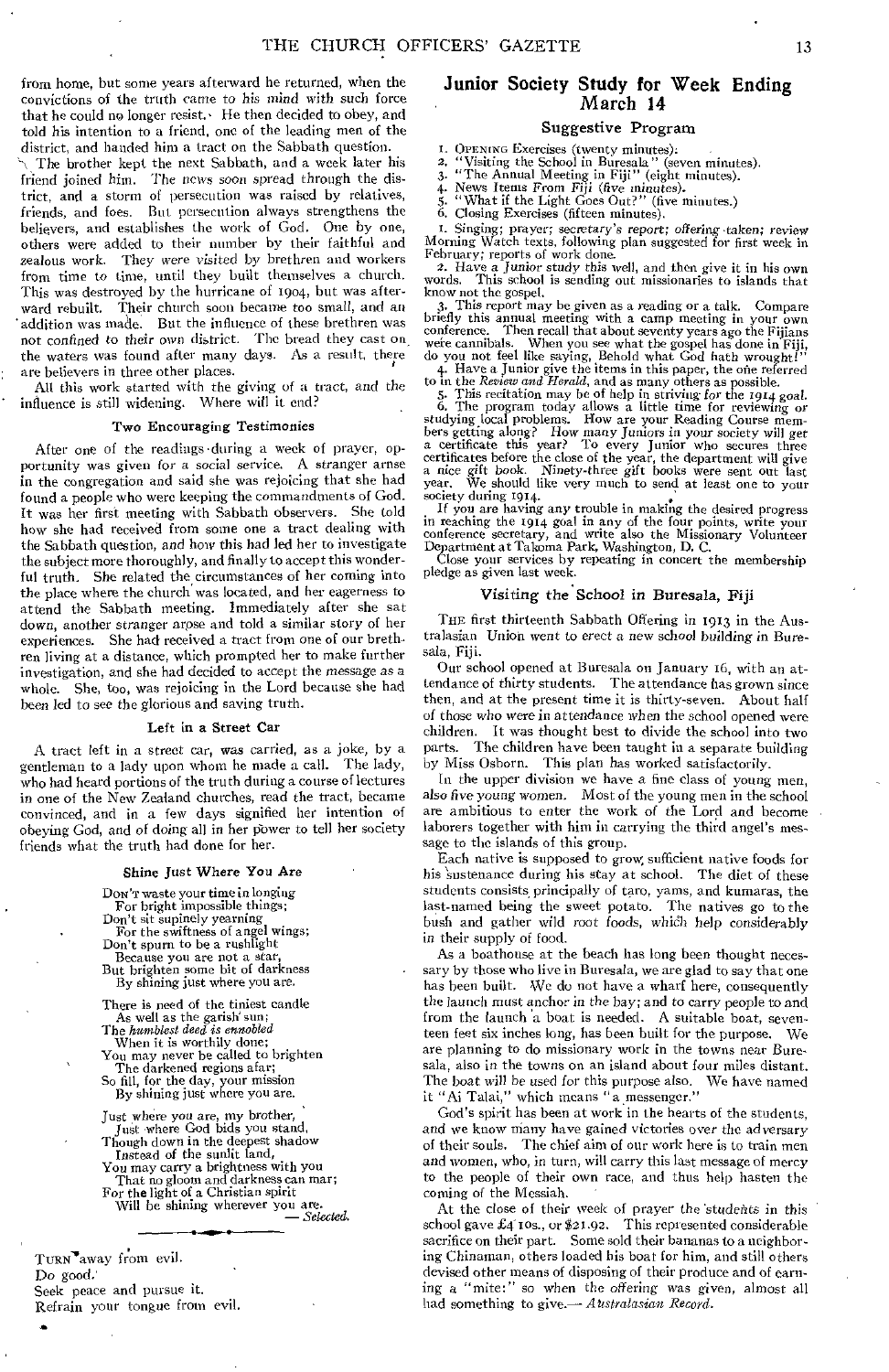from home, but some years afterward he returned, when the convictions of the truth came to his mind with such force that he could no longer resist. $\cdot$  He then decided to obey, and told his intention to a friend, one of the leading men of the district, and handed him a tract on the Sabbath question.

\ The brother kept the next Sabbath, and a week later his friend joined him. The news *soon* spread through the district, and a storm of persecution was raised by relatives, friends, and foes. But persecution always strengthens the believers, and establishes the work of God. One by one, others were added to their number by their faithful and zealous work. They were *visited* by brethren and workers from time to time, until they built themselves a church. This was destroyed by the hurricane of 1904, but was afterward rebuilt. Their church soon became too small, and an addition was made. But the influence of these brethren was not confined to their own district. The bread they cast on the waters was found after many days. As a result, there are believers in three other places.

All this work started with the giving of a tract, and the influence is still widening. Where will it end?

#### Two Encouraging Testimonies

After one of the readings •during a week of prayer, opportunity was given for a social service. A stranger arnse in the congregation and said she was rejoicing that she had found a people who were keeping the commandments of God. It was her first meeting with Sabbath observers. She told how she had received from some one a tract dealing with the Sabbath question, *and how* this had led her to investigate the subject more thoroughly, and finally to accept this wonderful truth. She related the circumstances of her coming into the place where the church was located, and her eagerness to attend the Sabbath meeting. Immediately after she sat down, another stranger arose and told a similar story of her experiences. She had received a tract from one of our brethren living at a distance, which prompted her to make further investigation, and she had decided to accept the *message as* a whole. She, too, was rejoicing in the Lord because she had been led to see the glorious and saving truth.

#### Left in a Street Car

A tract left in a street car, was carried, as a joke, by a gentleman to a lady upon whom he made a call. The lady, who had heard portions of the truth during a course of lectures in one of the New Zealand churches, read the tract, became convinced, and in a few days signified her intention of obeying God, and *of* doing all in her pbwer to tell her society friends what the truth had done for her.

## Shine Just Where You Are

DON'T waste your time in longing For bright impossible things; Don't sit supinely yearning For the swiftness of angel wings; Don't spurn to be a rushlight Because you are not a star, But brighten some bit of darkness

By shining just where you are.

There is need of the tiniest candle As well as the garish' sun; The *humblest deed is ennobled*  When it is worthily done;

You may never be called to brighten The darkened regions afar;

So fill, for the day, your mission By shining just where you are.

Just where *you are,* my brother, Just where God bids you stand, Though down in the deepest shadow Instead of the sunlit land,

You may carry a brightness with you That no gloom and darkness can mar; For the light of a Christian spirit Will be shining wherever you are.

*— Selected.* 

TURN'away from evil. Do good.' Seek peace and pursue it. Refrain your tongue from evil.

## Junior Society Study for Week Ending March 14

## Suggestive Program

I. OPENING Exercises (twenty minutes). 2. "Visiting the School in Buresala" (seven minutes). 3. "The Annual Meeting in Fiji" (eight minutes).

4. News Items From Fiji *(five minutes).*  5. "What if the Light Goes Out?" (five minutes.)

6. Closing Exercises (fifteen minutes).

I. Singing; prayer; secretary's *report; of tering* 'taken; review Morning Watch texts, following plan suggested for first week in

February; reports of work done. 2. Have a *Junior study* this well, and then give it in his own words. This school is sending out missionaries to islands that know not the gospel.<br>3. This report may be given as a reading or a talk.

3. This report may be given as a reading or a talk. Compare briefly this annual meeting with a camp meeting in your own conference. Then recall that about seventy years ago the Fijians

were cannibals. When you see what the gospel has done in Fiji,<br>do you not feel like saying, Behold what God hath wrought!"<br>4. Have a Junior give the items in this paper, the one referred<br>to in the *Review and Herald*, and bers getting along? How many Juniors in your society will get<br>a certificate this year? To every Junior who secures three<br>certificates before the close of the year, the department will give<br>a nice gift book. Ninety-three gi year. We should like very much to send at least one to your year. We should like very much to send at least one to your<br>society during 1914.<br>If you are having any trouble in making the desired progress

in reaching the 1914 goal in any of the four points, write your<br>conference secretary, and write also the Missionary Volunteer<br>Department at Takoma Park, Washington, D. C.<br>Close your services by repeating in concert the mem

#### Visiting the School in Buresala, Fiji

THE first thirteenth Sabbath Offering in 1913 in the Australasian Union went to erect a new school building in Buresala, Fiji.

Our school opened at Buresala on January 16, with an attendance of thirty students. The attendance has grown since then, and at the present time it is thirty-seven. About half of those who were in attendance when the school opened were children. It was thought best to divide the school into two parts. The children have been taught in a separate building by Miss Osborn. This plan has worked satisfactorily.

In the upper division we have a fine class of young men, also five *young* women, Most of the young men in the school are ambitious to enter the work of the Lord and become laborers together with him in carrying the third angel's message to the islands of this group.

Each native is supposed to grow, sufficient native foods for his sustenance during his stay at school. The diet of these students consists, principally of taro, yams, and kumaras, the last-named being the sweet potato. The natives go to the bush and gather wild root foods, whidh help considerably in their supply of food.

As a boathouse at the beach has long been thought necessary by those who live in Buresala, we are glad to say that one has been built. We do not have a wharf here, consequently the launch must anchor in the bay; and to carry people to and from the launch a boat is needed. A suitable boat, seventeen feet six inches long, has been built for the purpose. We are planning to do missionary work in the towns near Buresala, also in the towns on an island about four miles distant. The boat will be used for this purpose also. We have named it "Ai Talai," which means "a messenger."

God's spirit has been at work in the hearts of the students, and we know many have gained victories over the adversary of their souls. The chief aim of our work here is to train men The chief aim of our work here is to train men and women, who, in turn, will carry this last message of mercy to the people of their own race, and thus help hasten the coming of the Messiah.

At the close of their week of prayer the *'students* in this school gave £4 ros., or \$21.92. This represented considerable sacrifice on their part. Some sold their bananas to a neighboring Chinaman, others loaded his boat for him, and still others devised other means of disposing of their produce and of earning a "mite:" so when the offering *was* given, almost all had something to give.— *Akstralasian Record.*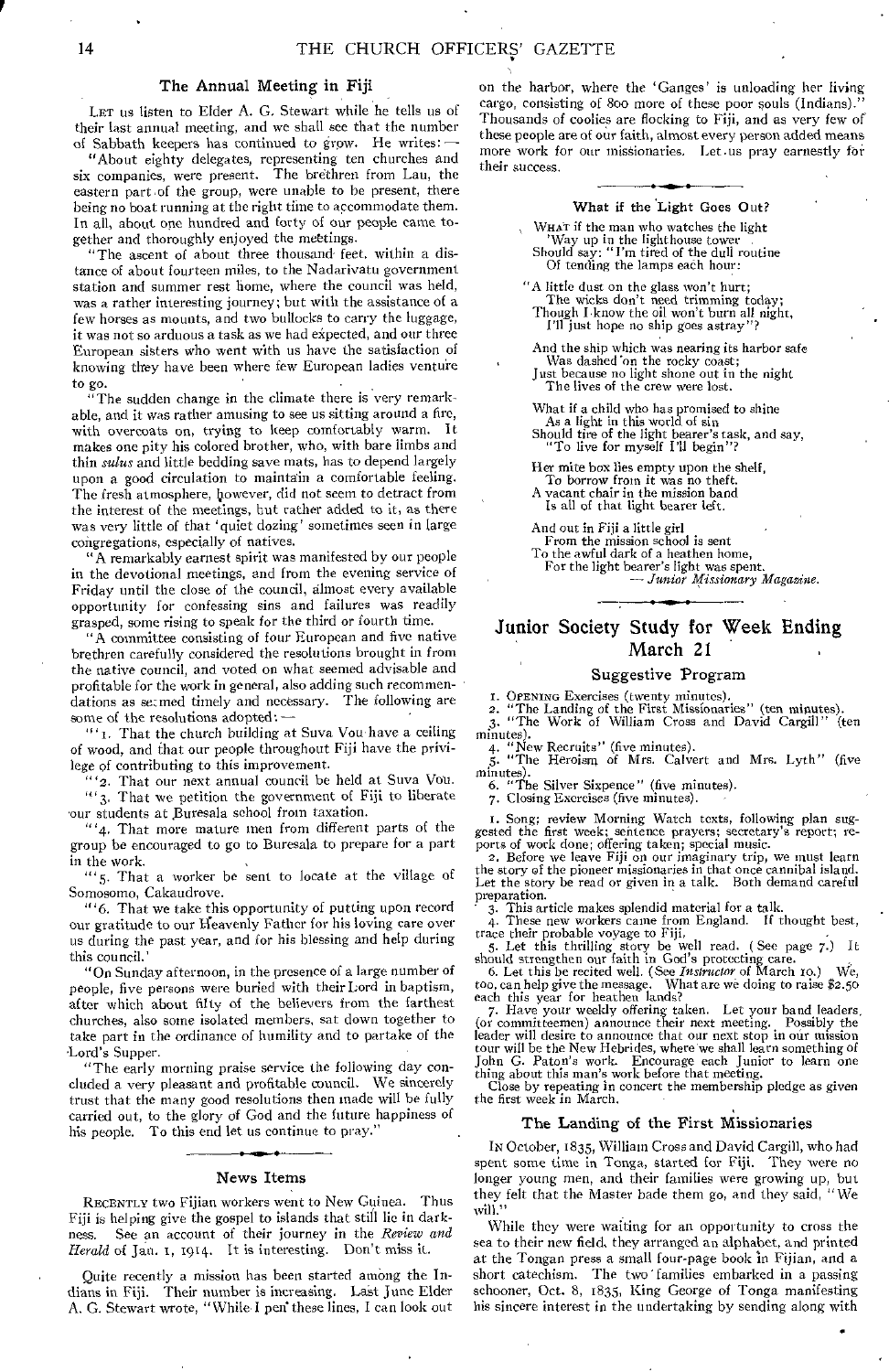## The Annual Meeting in Fiji

LET us listen to Elder A. G. Stewart while he tells us of their last annual meeting, and we shall see that the number of Sabbath keepers has continued to grow. He writes:

"About eighty delegates, representing ten churches and six companies, were present. The brethren from Lau, the eastern part of the group, were unable to be present, there being no boat running at the right time to accommodate them. In all, about one hundred and forty of our people came together and thoroughly enjoyed the mettings.

"The ascent of about three thousand feet, within a distance of about fourteen miles, to the Nadarivatu government station and summer rest home, where the council was held, was a rather interesting journey; but with the assistance of a few horses as mounts, and two bullocks to carry the luggage, it was not so arduous a task as we had expected, and our three European sisters who went with us have the satisfaction of knowing they have been where few European ladies venture to go.

"The sudden change in the climate there is very remarkable, and it was rather amusing to see us sitting around a fire, with overcoats on, trying to keep comfortably warm. makes one pity his colored brother, who, with bare limbs and thin *sulus* and little bedding save mats, has to depend largely upon a good circulation to maintain a comfortable feeling. The fresh atmosphere, however, did not seem to detract from the interest of the meetings, but rather added to it, as there was very little of that 'quiet dozing' sometimes seen in large congregations, especially of natives.

"A remarkably earnest spirit was manifested by our people in the devotional meetings, and from the evening service of Friday until the close of the council, almost every available opportunity for confessing sins and failures was readily grasped, some rising to speak for the third or fourth time.

"A committee consisting of four European and five native brethren carefully considered the resolutions brought in from the native council, and voted on what seemed advisable and profitable for the work in general, also adding such recommendations as secmed timely and necessary. The following are some of the resolutions adopted: —

"' 1. That the church building at Suva Vou have a ceiling of wood, and that our people throughout Fiji have the privilege of contributing to this improvement.

'2. That our next annual council be held at Suva Vou.  $\frac{1}{3}$ . That we petition the government of Fiji to liberate our students at Buresala school from taxation.

 $" '4$ , That more mature men from different parts of the group be encouraged to go to Buresala to prepare for a part in the work.

"'5. That a worker be sent to locate at the village of Somosomo, Cakaudrove.

"' 6, That we take this opportunity of putting upon record our gratitude to our Heavenly Father for his loving care over us during the past year, and for his blessing and help during this council.'

"On Sunday afternoon, in the presence of a large number of people, five persons were buried with their Lord in baptism, after which about fifty of the believers from the farthest churches, also some isolated members, sat down together to take part in the ordinance of humility and to partake of the Lord's Supper.

"The early morning praise service the following day concluded a very pleasant and profitable council. We sincerely trust that the many good resolutions then made will be fully carried out, to the glory of God and the future happiness of his people. To this end let us continue to pray."

#### News Items

RECENTLY two Fijian workers went to New Guinea. Thus Fiji is helping give the gospel to islands that still lie in darkness. See an account of their journey in the *Review and Herald* of Jan. 1, 1914. It is interesting. Don't miss it.

Quite recently a mission has been started among the Indians in Fiji. Their number is increasing. Last June Elder A. G. Stewart wrote, "While I pen these lines, I can look out

on the harbor, where the 'Ganges' is unloading her living cargo, consisting of 800 more of these poor souls (Indians). Thousands of coolies are flocking to Fiji, and as very few of these people are of our faith, almost every person added means more work for our missionaries. Let us pray earnestly for their success.

#### What if the Light Goes Out?

WHAT if the man who watches the light 'Way up in the lighthouse tower Should say: "I'm tired of the dull routine Of tending the lamps each hour:

"A little dust on the glass won't hurt; The wicks don't need trimming today; Though I know the oil won't burn all night, I'll just hope no ship goes astray"?

And the ship which was nearing its harbor safe Was dashed 'on the rocky coast;

Just because no light shone out in the night The lives of the crew were lost.

What if a child who has promised to shine As a light in this world of sin Should tire of the light bearer's task, and say, "To live for myself PH begin"?

Her mite box lies empty upon the shelf,

To borrow from it was no theft. A vacant chair in the mission band

Is all of that light bearer left.

And out in Fiji a little girl

From the mission school is sent

To the awful dark of a heathen home, For the light bearer's light was spent.

*— Junior Missionary Magazine.* 

## Junior Society Study for Week Ending March 21

## Suggestive Program

I. OPENING Exercises (twenty minutes). 2. "The Landing of the First Missionaries" (ten minutes). 3. "The Work of William Cross and David Cargill" (ten

minutes).<br>4. "New Recruits" (five minutes).<br>6. Mrs. Calve 4. "New Recruits" (five minutes). 5. "The Heroism of Mrs. Calvert and Mrs. Lyth " (five minutes). 6. "The Silver Sixpence" (five minutes). 7. Closing Exercises (five minutes).

I. Song; review Morning Watch texts, following plan suggested the first week; sentence prayers; secretary's report; re-

ports of work done; offering taken; special music.<br>2. Before we leave Fiji on our imaginary trip, we must learn<br>the story of the pioneer missionaries in that once cannibal island.<br>Let the story be read or given in a talk. preparation.

3. This article makes splendid material for a talk.

4. These new workers came from England. If thought best,

trace their probable voyage to Fiji,<br>5. Let this thrilling story be well read. (See page 7.) It<br>should strengthen our faith in God's protecting care.<br>6. Let this be recited well. (See *Instructor* of March 10.) We,<br>too, c

7. Have your weekly offering taken. Let your band leaders (or committeemen) announce their next meeting. Possibly the leader will desire to announce that our next stop in our mission tour will be the New Hebrides, where we

#### The Landing of the First Missionaries

In October, 1835, William Cross and David Cargill, who had spent some time in Tonga, started for Fiji. They were no longer young men, and their families were growing up, but they felt that the Master bade them go, and they said, " We will."

While they were waiting for an opportunity to cross the sea to their new field, they arranged an alphabet, and printed at the Tongan press a small four-page book In Fijian, and a short catechism. The two families embarked in a passing schooner, Oct. 8, 1835, King George of Tonga manifesting his sincere interest in the undertaking by sending along with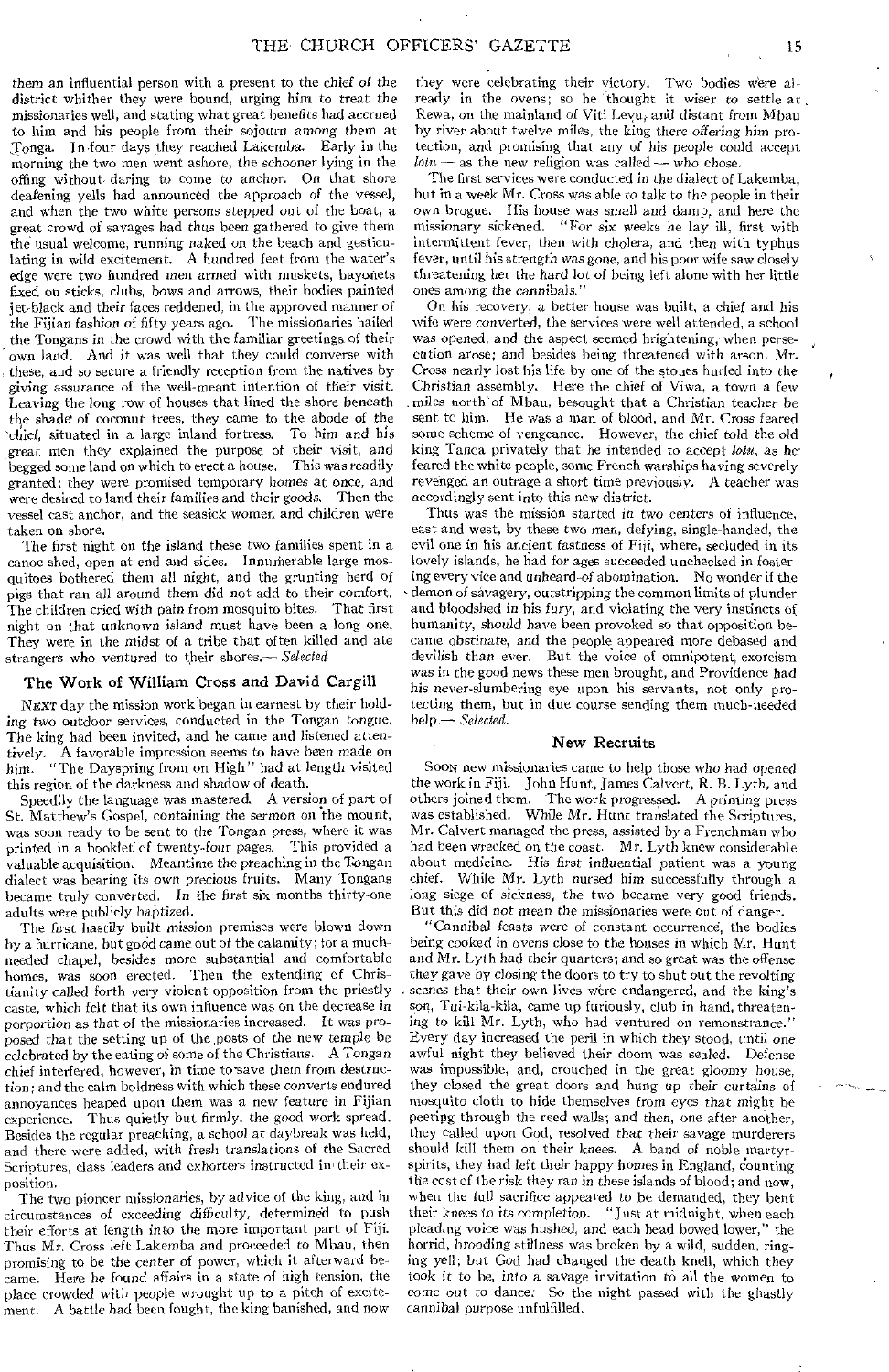them an influential person with a present to the chief *of* the district whither they were hound, urging him to treat the missionaries well, and stating what great benefits had accrued to him and his people from their sojourn *among* them at ,Tonga. In four days they reached Lakemba. Early in the morning the two men went ashore, the schooner lying in the offing without daring to come to anchor. On that shore deafening yells had announced the approach of the vessel, and when the two white persons stepped out of the boat, a great crowd of savages had thus been gathered to give them the usual welcome, running naked *on* the beach and gesticulating in wild excitement. A hundred feet from the water's edge were two hundred men armed with muskets, bayonets fixed on sticks, clubs, bows and arrows, their bodies painted jet-black and their *faces* reddened, in the approved manner of the Fijian fashion *of* fifty years ago. The missionaries hailed the Tongans in the crowd with the familiar greetings of their own land. And it was well that they could converse with these, and so secure a friendly reception from the natives by giving assurance of the well-meant intention of their visit. Leaving the long row of houses that lined the shore beneath the shade of coconut trees, they came to the abode *of* the 'chief, situated in a large inland fortress. To him *and his*  great men they explained the purpose of their *visit,* and begged some land on which to erect a house. granted; they were promised temporary homes at once, and were desired to land their families and their goods. Then the vessel cast anchor, and the seasick women and children were taken on shore.

The first night on the island these two families spent in a canoe shed, open at end and sides. Innumerable large mosquitoes bothered them all *night,* and the grunting herd of pigs that ran all around them did not add to their comfort. The children cried with pain from mosquito bites. That first night on that unknown island must have been a long one. They were in the midst of a tribe that often killed and ate strangers who ventured to their shores.— *Selected* 

### The Work of William Cross and David Cargill

NEXT day the mission work began in earnest by their holding two outdoor services, conducted in the Tongan tongue. The king had been invited, and he came and listened attentively. A favorable impression seems to have been *made* on him. "The Dayspring from on High" had at length visited this region of the darkness and shadow of death.

Speedily the language was mastered. A version of part of St. Matthew's Gospel, containing the sermon on the mount, was soon ready to be sent to the Tongan press, where it was printed in a booklet of twenty-four pages. This provided a valuable acquisition. Meantime the preaching in the Tongan dialect was bearing its own precious fruits. Many Tongans became truly converted. In the first six months thirty-one adults were publicly baptized.

The first hastily built mission premises were blown down by a hurricane, but good came out of the calamity; for a muchneeded chapel, besides more substantial and comfortable homes, was soon erected. Then the extending of Christianity called forth very violent opposition from the priestly caste, which felt that its own influence was on the decrease in porportion as that of the missionaries increased. It was proposed that the setting up of the, posts of the new temple be celebrated by the eating of some of the Christians. A Tongan chief interfered, however, in time to save them from destruction; and the calm boldness with which these converts endured annoyances heaped upon them was a new feature in Fijian experience. Thus quietly but firmly, the good work spread. Besides the regular preaching, a school at daybreak was held, and there were added, with fresh translations of the Sacred Scriptures, class leaders and exhorters instructed in their exposition.

The two pioneer missionaries, by advice of the king, and in circumstances of exceeding difficulty, determined to push their efforts at length into the more important part of Fiji. Thus Mr, Cross left Lakemba and proceeded to Mbau, then promising to be the center of power, which it afterward became. Here he found affairs in a state of high tension, the place crowded with people wrought up to a pitch of excitement. A battle had been fought, the king banished, and now

they were celebrating their victory. Two bodies were already in the ovens; so he thought it wiser to settle at, Rewa, on the mainland of Viti Levu, and distant *from* Mbau by river about twelve miles, the king there *offering* him protection, and promising that any of his people could accept  $lotu$  — as the new religion was called — who chose.

The first services were conducted in the dialect of Lakemba, but in a week Mr. Cross was able *to* talk to the people in their own brogue. His house was small and damp, and here the missionary sickened. "For six weeks he lay ill, first with intermittent fever, then with cholera, and then with typhus fever, until his strength *was gone,* and his poor wife saw closely threatening her the hard lot of being left alone with her little ones among the cannibals."

On his recovery, a better house was built, a chief and his wife were converted, the services were well attended, a school was opened, and the aspect seemed brightening, when persecution arose; and besides being threatened with arson, Mr. Cross nearly lost his life by one of the stones hurled into the Christian assembly. Here the chief of Viwa, a town a few .miles north of Mbau, besought that a Christian teacher be sent to him. He was a man of blood, and Mr. Cross feared some scheme of vengeance. However, the chief told the old king Tanoa privately that he intended to accept *Iota,* as he' feared the white people, some French warships having severely revenged an outrage a short time previously. A teacher was accordingly sent into this new district.

Thus was the mission started in two centers of influence, east and west, by these two men, defying, single-handed, the evil one in his ancient fastness of Fiji, where, secluded in its lovely islands, he had for ages succeeded unchecked in fostering every vice and unheard-of abomination. No wonder if the demon of savagery, outstripping the common limits of plunder and bloodshed in his fury, and violating the very instincts of humanity, should have been provoked so that opposition became obstinate, and the people appeared more debased and devilish than ever. But the voice of omnipotent, exorcism *was* in the good news these men brought, and Providence had his never-slumbering eye upon his servants, not only protecting them, but in due course sending them much-needed help.— *Selected.* 

#### New Recruits

SOON new missionaries came to help those who had opened the work in Fiji. John Hunt, James Calvert, R. B. Lyth, and others joined them. 'The work progressed. A printing press was established. While Mr. Hunt translated the Scriptures, Mr. Calvert managed the press, assisted by a Frenchman who had been wrecked on the coast. Mr. Lyth knew considerable about medicine. His first influential patient was a young chief. While Mr. Lyth nursed him successfully through a While Mr. Lyth nursed him successfully through a long siege of sickness, the two became very good friends. But this did not mean the missionaries were out of danger.

"Cannibal feasts were of constant occurrence, the bodies being cooked *in* ovens dose to the houses in which Mr. Hunt and Mr. Lyih had their quarters; and so great was the offense they gave by closing the doors to try to shut out the revolting scenes that their own lives were endangered, and the king's son, Tui-kila-kila, came up furiously, club in hand, threatening to kill Mr. Lyth, who had ventured on remonstrance." Every day increased the peril in which they stood, until one awful night they believed their doom was sealed. Defense was impossible, and, crouched in the great gloomy house, they closed the great doors and hung up their curtains of mosquito cloth to hide themselves from eyes that might be peering through the reed walls; and then, one after another, they called upon God, resolved that their savage murderers should kill them on their knees. A band of noble martyrspirits, they had left their happy homes in England, counting the cost of the risk they *ran* in these islands of blood; and now, when the full sacrifice appeared to be demanded, they bent their knees to its completion. "Just at midnight, when each pleading voice *was* hushed, and each head bowed lower," the horrid, brooding stillness was broken by a wild, sudden, ringing yell; but God had changed the death knell, which they took it to be, into a savage invitation to all the women to come *out* to dance. So the night passed with the ghastly cannibal purpose unfulfilled.